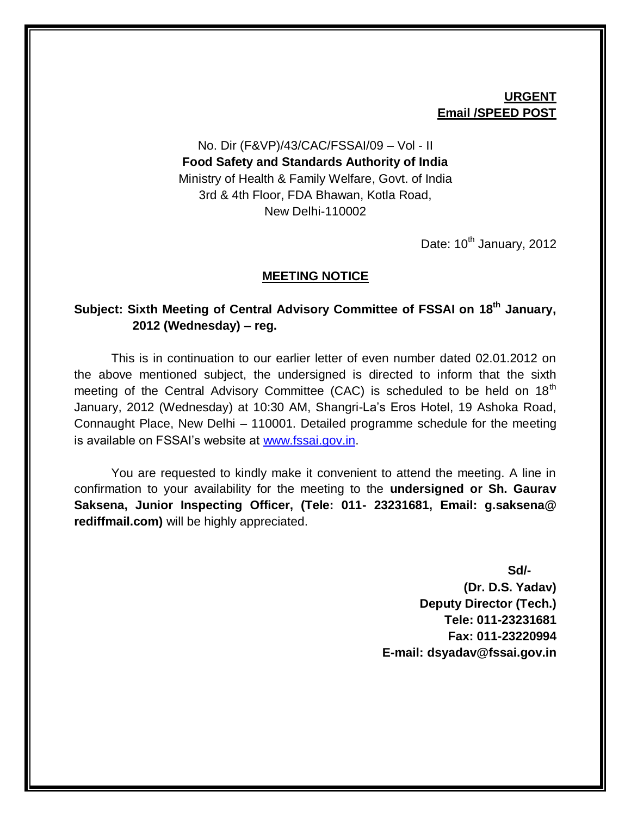## **URGENT Email /SPEED POST**

## No. Dir (F&VP)/43/CAC/FSSAI/09 – Vol - II **Food Safety and Standards Authority of India** Ministry of Health & Family Welfare, Govt. of India 3rd & 4th Floor, FDA Bhawan, Kotla Road, New Delhi-110002

Date:  $10^{th}$  January, 2012

#### **MEETING NOTICE**

## **Subject: Sixth Meeting of Central Advisory Committee of FSSAI on 18th January, 2012 (Wednesday) – reg.**

This is in continuation to our earlier letter of even number dated 02.01.2012 on the above mentioned subject, the undersigned is directed to inform that the sixth meeting of the Central Advisory Committee (CAC) is scheduled to be held on 18<sup>th</sup> January, 2012 (Wednesday) at 10:30 AM, Shangri-La's Eros Hotel, 19 Ashoka Road, Connaught Place, New Delhi – 110001. Detailed programme schedule for the meeting is available on FSSAI's website at [www.fssai.gov.in.](http://www.fssai.gov.in/)

You are requested to kindly make it convenient to attend the meeting. A line in confirmation to your availability for the meeting to the **undersigned or Sh. Gaurav Saksena, Junior Inspecting Officer, (Tele: 011- 23231681, Email: g.saksena@ rediffmail.com)** will be highly appreciated.

> **Sd/- (Dr. D.S. Yadav) Deputy Director (Tech.) Tele: 011-23231681 Fax: 011-23220994 E-mail: dsyadav@fssai.gov.in**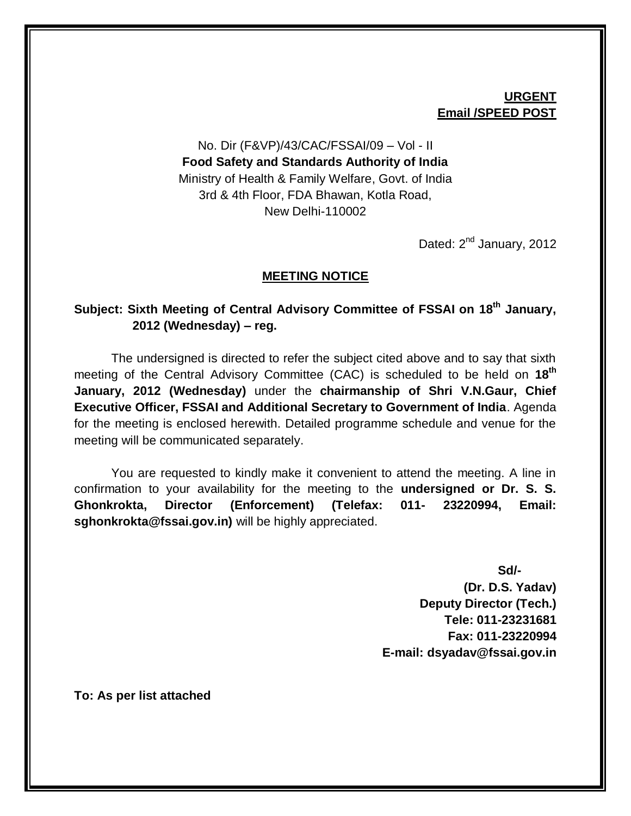## **URGENT Email /SPEED POST**

## No. Dir (F&VP)/43/CAC/FSSAI/09 – Vol - II **Food Safety and Standards Authority of India** Ministry of Health & Family Welfare, Govt. of India 3rd & 4th Floor, FDA Bhawan, Kotla Road, New Delhi-110002

Dated: 2<sup>nd</sup> January, 2012

## **MEETING NOTICE**

## **Subject: Sixth Meeting of Central Advisory Committee of FSSAI on 18th January, 2012 (Wednesday) – reg.**

The undersigned is directed to refer the subject cited above and to say that sixth meeting of the Central Advisory Committee (CAC) is scheduled to be held on **18th January, 2012 (Wednesday)** under the **chairmanship of Shri V.N.Gaur, Chief Executive Officer, FSSAI and Additional Secretary to Government of India**. Agenda for the meeting is enclosed herewith. Detailed programme schedule and venue for the meeting will be communicated separately.

You are requested to kindly make it convenient to attend the meeting. A line in confirmation to your availability for the meeting to the **undersigned or Dr. S. S. Ghonkrokta, Director (Enforcement) (Telefax: 011- 23220994, Email: sghonkrokta@fssai.gov.in)** will be highly appreciated.

> **Sd/- (Dr. D.S. Yadav) Deputy Director (Tech.) Tele: 011-23231681 Fax: 011-23220994 E-mail: dsyadav@fssai.gov.in**

**To: As per list attached**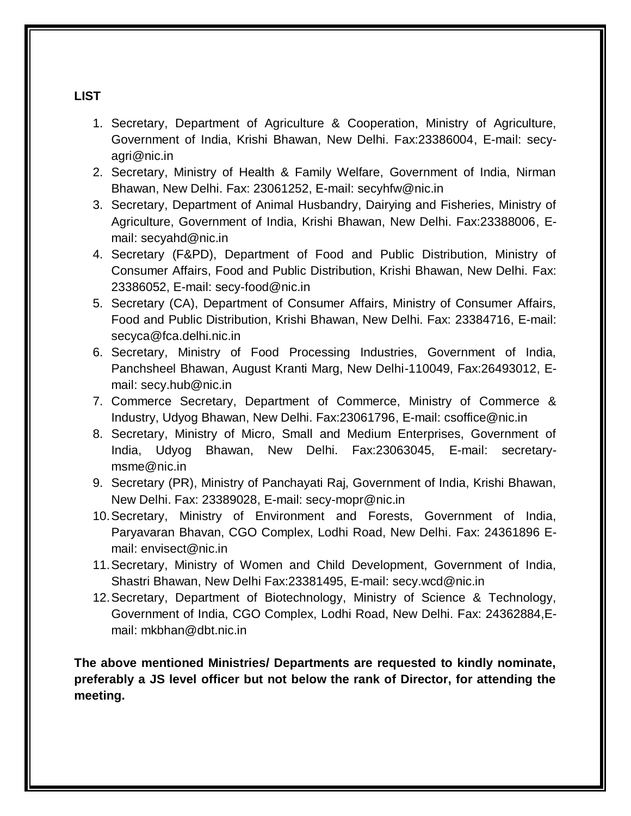## **LIST**

- 1. Secretary, Department of Agriculture & Cooperation, Ministry of Agriculture, Government of India, Krishi Bhawan, New Delhi. Fax:23386004, E-mail: secyagri@nic.in
- 2. Secretary, Ministry of Health & Family Welfare, Government of India, Nirman Bhawan, New Delhi. Fax: 23061252, E-mail: secyhfw@nic.in
- 3. Secretary, Department of Animal Husbandry, Dairying and Fisheries, Ministry of Agriculture, Government of India, Krishi Bhawan, New Delhi. Fax:23388006, Email: secyahd@nic.in
- 4. Secretary (F&PD), Department of Food and Public Distribution, Ministry of Consumer Affairs, Food and Public Distribution, Krishi Bhawan, New Delhi. Fax: 23386052, E-mail: secy-food@nic.in
- 5. Secretary (CA), Department of Consumer Affairs, Ministry of Consumer Affairs, Food and Public Distribution, Krishi Bhawan, New Delhi. Fax: 23384716, E-mail: secyca@fca.delhi.nic.in
- 6. Secretary, Ministry of Food Processing Industries, Government of India, Panchsheel Bhawan, August Kranti Marg, New Delhi-110049, Fax:26493012, Email: secy.hub@nic.in
- 7. Commerce Secretary, Department of Commerce, Ministry of Commerce & Industry, Udyog Bhawan, New Delhi. Fax:23061796, E-mail: csoffice@nic.in
- 8. Secretary, Ministry of Micro, Small and Medium Enterprises, Government of India, Udyog Bhawan, New Delhi. Fax:23063045, E-mail: secretarymsme@nic.in
- 9. Secretary (PR), Ministry of Panchayati Raj, Government of India, Krishi Bhawan, New Delhi. Fax: 23389028, E-mail: secy-mopr@nic.in
- 10.Secretary, Ministry of Environment and Forests, Government of India, Paryavaran Bhavan, CGO Complex, Lodhi Road, New Delhi. Fax: 24361896 Email: envisect@nic.in
- 11.Secretary, Ministry of Women and Child Development, Government of India, Shastri Bhawan, New Delhi Fax:23381495, E-mail: secy.wcd@nic.in
- 12.Secretary, Department of Biotechnology, Ministry of Science & Technology, Government of India, CGO Complex, Lodhi Road, New Delhi. Fax: 24362884,Email: mkbhan@dbt.nic.in

**The above mentioned Ministries/ Departments are requested to kindly nominate, preferably a JS level officer but not below the rank of Director, for attending the meeting.**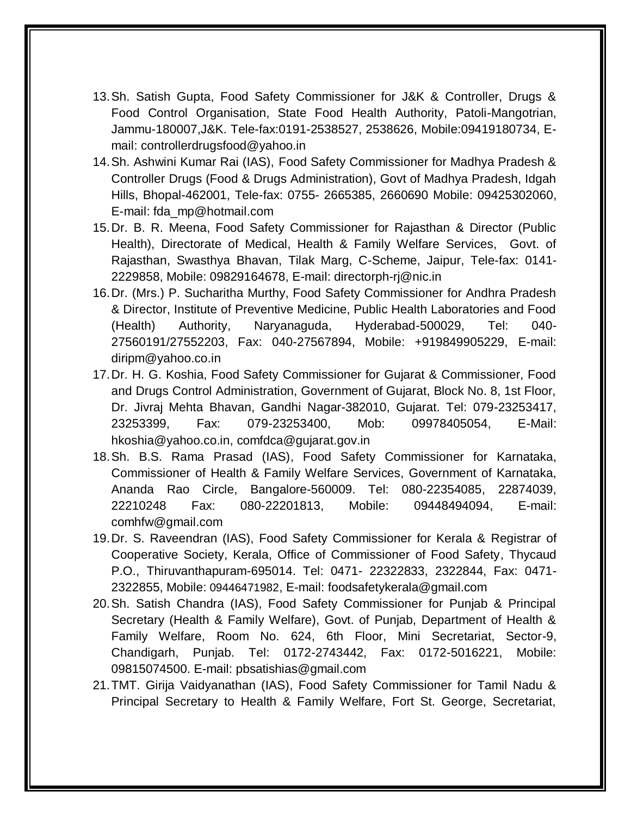- 13.Sh. Satish Gupta, Food Safety Commissioner for J&K & Controller, Drugs & Food Control Organisation, State Food Health Authority, Patoli-Mangotrian, Jammu-180007,J&K. Tele-fax:0191-2538527, 2538626, Mobile:09419180734, Email: controllerdrugsfood@yahoo.in
- 14.Sh. Ashwini Kumar Rai (IAS), Food Safety Commissioner for Madhya Pradesh & Controller Drugs (Food & Drugs Administration), Govt of Madhya Pradesh, Idgah Hills, Bhopal-462001, Tele-fax: 0755- 2665385, 2660690 Mobile: 09425302060, E-mail: fda\_mp@hotmail.com
- 15.Dr. B. R. Meena, Food Safety Commissioner for Rajasthan & Director (Public Health), Directorate of Medical, Health & Family Welfare Services, Govt. of Rajasthan, Swasthya Bhavan, Tilak Marg, C-Scheme, Jaipur, Tele-fax: 0141- 2229858, Mobile: 09829164678, E-mail: directorph-rj@nic.in
- 16.Dr. (Mrs.) P. Sucharitha Murthy, Food Safety Commissioner for Andhra Pradesh & Director, Institute of Preventive Medicine, Public Health Laboratories and Food (Health) Authority, Naryanaguda, Hyderabad-500029, Tel: 040- 27560191/27552203, Fax: 040-27567894, Mobile: +919849905229, E-mail: diripm@yahoo.co.in
- 17.Dr. H. G. Koshia, Food Safety Commissioner for Gujarat & Commissioner, Food and Drugs Control Administration, Government of Gujarat, Block No. 8, 1st Floor, Dr. Jivraj Mehta Bhavan, Gandhi Nagar-382010, Gujarat. Tel: 079-23253417, 23253399, Fax: 079-23253400, Mob: 09978405054, E-Mail: hkoshia@yahoo.co.in, [comfdca@gujarat.gov.in](mailto:comfdca@gujarat.gov.in)
- 18.Sh. B.S. Rama Prasad (IAS), Food Safety Commissioner for Karnataka, Commissioner of Health & Family Welfare Services, Government of Karnataka, Ananda Rao Circle, Bangalore-560009. Tel: 080-22354085, 22874039, 22210248 Fax: 080-22201813, Mobile: 09448494094, E-mail: [comhfw@gmail.com](mailto:comhfw@gmail.com)
- 19.Dr. S. Raveendran (IAS), Food Safety Commissioner for Kerala & Registrar of Cooperative Society, Kerala, Office of Commissioner of Food Safety, Thycaud P.O., Thiruvanthapuram-695014. Tel: 0471- 22322833, 2322844, Fax: 0471- 2322855, Mobile: 09446471982, E-mail: foodsafetykerala@gmail.com
- 20.Sh. Satish Chandra (IAS), Food Safety Commissioner for Punjab & Principal Secretary (Health & Family Welfare), Govt. of Punjab, Department of Health & Family Welfare, Room No. 624, 6th Floor, Mini Secretariat, Sector-9, Chandigarh, Punjab. Tel: 0172-2743442, Fax: 0172-5016221, Mobile: 09815074500. E-mail: pbsatishias@gmail.com
- 21.TMT. Girija Vaidyanathan (IAS), Food Safety Commissioner for Tamil Nadu & Principal Secretary to Health & Family Welfare, Fort St. George, Secretariat,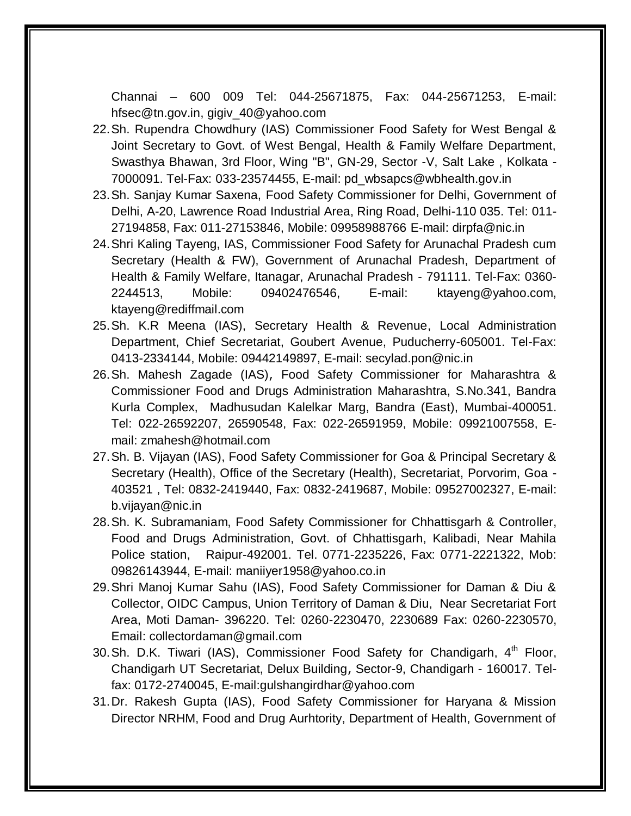Channai – 600 009 Tel: 044-25671875, Fax: 044-25671253, E-mail: [hfsec@tn.gov.in,](mailto:hfsec@tn.gov.in) [gigiv\\_40@yahoo.com](mailto:gigiv_40@yahoo.com)

- 22.Sh. Rupendra Chowdhury (IAS) Commissioner Food Safety for West Bengal & Joint Secretary to Govt. of West Bengal, Health & Family Welfare Department, Swasthya Bhawan, 3rd Floor, Wing "B", GN-29, Sector -V, Salt Lake , Kolkata - 7000091. Tel-Fax: 033-23574455, E-mail: [pd\\_wbsapcs@wbhealth.gov.in](mailto:pd_wbsapcs@wbhealth.gov.in)
- 23.Sh. Sanjay Kumar Saxena, Food Safety Commissioner for Delhi, Government of Delhi, A-20, Lawrence Road Industrial Area, Ring Road, Delhi-110 035. Tel: 011- 27194858, Fax: 011-27153846, Mobile: 09958988766 E-mail: dirpfa@nic.in
- 24.Shri Kaling Tayeng, IAS, Commissioner Food Safety for Arunachal Pradesh cum Secretary (Health & FW), Government of Arunachal Pradesh, Department of Health & Family Welfare, Itanagar, Arunachal Pradesh - 791111. Tel-Fax: 0360- 2244513, Mobile: 09402476546, E-mail: [ktayeng@yahoo.com,](mailto:ktayeng@yahoo.com) [ktayeng@rediffmail.com](mailto:ktayeng@rediffmail.com)
- 25.Sh. K.R Meena (IAS), Secretary Health & Revenue, Local Administration Department, Chief Secretariat, Goubert Avenue, Puducherry-605001. Tel-Fax: 0413-2334144, Mobile: 09442149897, E-mail: secylad.pon@nic.in
- 26.Sh. Mahesh Zagade (IAS), Food Safety Commissioner for Maharashtra & Commissioner Food and Drugs Administration Maharashtra, S.No.341, Bandra Kurla Complex, Madhusudan Kalelkar Marg, Bandra (East), Mumbai-400051. Tel: 022-26592207, 26590548, Fax: 022-26591959, Mobile: 09921007558, Email: [zmahesh@hotmail.com](mailto:zmahesh@hotmail.com)
- 27.Sh. B. Vijayan (IAS), Food Safety Commissioner for Goa & Principal Secretary & Secretary (Health), Office of the Secretary (Health), Secretariat, Porvorim, Goa - 403521 , [Tel: 0832-2419440,](Tel:0832-2419440) Fax: 0832-2419687, Mobile: 09527002327, E-mail: b.vijayan@nic.in
- 28.Sh. K. Subramaniam, Food Safety Commissioner for Chhattisgarh & Controller, Food and Drugs Administration, Govt. of Chhattisgarh, Kalibadi, Near Mahila Police station, Raipur-492001. Tel. 0771-2235226, Fax: 0771-2221322, Mob: 09826143944, E-mail: [maniiyer1958@yahoo.co.in](mailto:maniiyer1958@yahoo.co.in)
- 29.Shri Manoj Kumar Sahu (IAS), Food Safety Commissioner for Daman & Diu & Collector, OIDC Campus, Union Territory of Daman & Diu, Near Secretariat Fort Area, Moti Daman- 396220. Tel: 0260-2230470, 2230689 Fax: 0260-2230570, Email: [collectordaman@gmail.com](mailto:collectordaman@gmail.com)
- 30. Sh. D.K. Tiwari (IAS), Commissioner Food Safety for Chandigarh, 4<sup>th</sup> Floor, Chandigarh UT Secretariat, Delux Building, Sector-9, Chandigarh - 160017. Telfax: 0172-2740045, E-mail:gulshangirdhar@yahoo.com
- 31.Dr. Rakesh Gupta (IAS), Food Safety Commissioner for Haryana & Mission Director NRHM, Food and Drug Aurhtority, Department of Health, Government of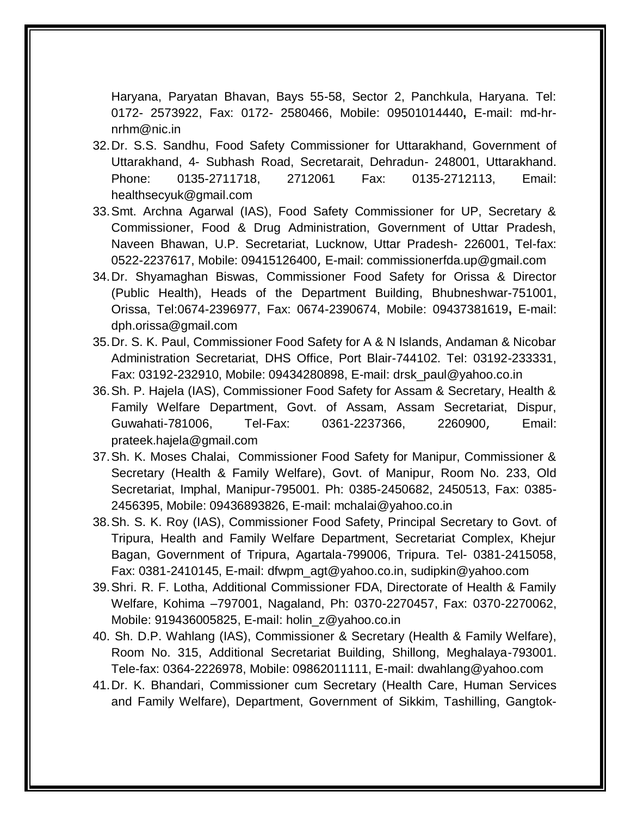Haryana, Paryatan Bhavan, Bays 55-58, Sector 2, Panchkula, Haryana. Tel: 0172- 2573922, Fax: 0172- 2580466, Mobile: 09501014440**,** E-mail: [md-hr](mailto:md-hr-nrhm@nic.in)[nrhm@nic.in](mailto:md-hr-nrhm@nic.in)

- 32.Dr. S.S. Sandhu, Food Safety Commissioner for Uttarakhand, Government of Uttarakhand, 4- Subhash Road, Secretarait, Dehradun- 248001, Uttarakhand. Phone: 0135-2711718, 2712061 Fax: 0135-2712113, Email: [healthsecyuk@gmail.com](mailto:healthsecyuk@gmail.com)
- 33.Smt. Archna Agarwal (IAS), Food Safety Commissioner for UP, Secretary & Commissioner, Food & Drug Administration, Government of Uttar Pradesh, Naveen Bhawan, U.P. Secretariat, Lucknow, Uttar Pradesh- 226001, Tel-fax: 0522-2237617, Mobile: 09415126400, E-mail: commissionerfda.up@gmail.com
- 34.Dr. Shyamaghan Biswas, Commissioner Food Safety for Orissa & Director (Public Health), Heads of the Department Building, Bhubneshwar-751001, Orissa, Tel:0674-2396977, Fax: 0674-2390674, Mobile: 09437381619**,** E-mail: [dph.orissa@gmail.com](mailto:dph.orissa@gmail.com)
- 35.Dr. S. K. Paul, Commissioner Food Safety for A & N Islands, Andaman & Nicobar Administration Secretariat, DHS Office, Port Blair-744102. Tel: 03192-233331, Fax: 03192-232910, Mobile: 09434280898, E-mail: [drsk\\_paul@yahoo.co.in](mailto:sadasivandhs@yahoo.co.in)
- 36.Sh. P. Hajela (IAS), Commissioner Food Safety for Assam & Secretary, Health & Family Welfare Department, Govt. of Assam, Assam Secretariat, Dispur, Guwahati-781006, Tel-Fax: 0361-2237366, 2260900, Email: prateek.hajela@gmail.com
- 37.Sh. K. Moses Chalai, Commissioner Food Safety for Manipur, Commissioner & Secretary (Health & Family Welfare), Govt. of Manipur, Room No. 233, Old Secretariat, Imphal, Manipur-795001. Ph: 0385-2450682, 2450513, Fax: 0385- 2456395, Mobile: 09436893826, E-mail: [mchalai@yahoo.co.in](mailto:mchalai@yahoo.co.in)
- 38.Sh. S. K. Roy (IAS), Commissioner Food Safety, Principal Secretary to Govt. of Tripura, Health and Family Welfare Department, Secretariat Complex, Khejur Bagan, Government of Tripura, Agartala-799006, Tripura. Tel- 0381-2415058, Fax: 0381-2410145, E-mail: dfwpm\_agt@yahoo.co.in, [sudipkin@yahoo.com](mailto:sudipkin@yahoo.com)
- 39.Shri. R. F. Lotha, Additional Commissioner FDA, Directorate of Health & Family Welfare, Kohima –797001, Nagaland, Ph: 0370-2270457, Fax: 0370-2270062, Mobile: 919436005825, E-mail: holin\_z@yahoo.co.in
- 40. Sh. D.P. Wahlang (IAS), Commissioner & Secretary (Health & Family Welfare), Room No. 315, Additional Secretariat Building, Shillong, Meghalaya-793001. Tele-fax: 0364-2226978, Mobile: 09862011111, E-mail: [dwahlang@yahoo.com](mailto:dwahlang@yahoo.com)
- 41.Dr. K. Bhandari, Commissioner cum Secretary (Health Care, Human Services and Family Welfare), Department, Government of Sikkim, Tashilling, Gangtok-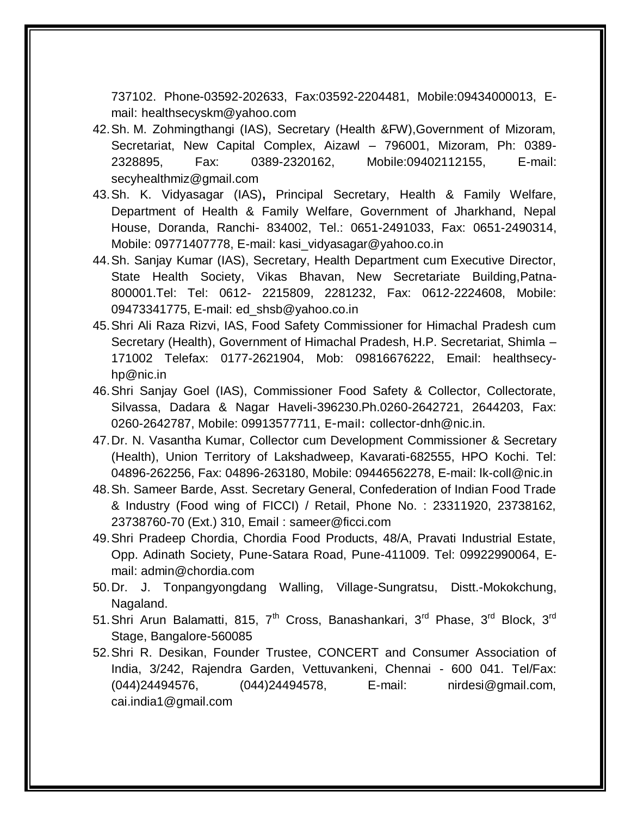737102. Phone-03592-202633, Fax:03592-2204481, Mobile:09434000013, Email: [healthsecyskm@yahoo.com](mailto:healthsecyskm@yahoo.com)

- 42.Sh. M. Zohmingthangi (IAS), Secretary (Health &FW),Government of Mizoram, Secretariat, New Capital Complex, Aizawl – 796001, Mizoram, Ph: 0389- 2328895, Fax: 0389-2320162, Mobile:09402112155, E-mail: secyhealthmiz@gmail.com
- 43.Sh. K. Vidyasagar (IAS)**,** Principal Secretary, Health & Family Welfare, Department of Health & Family Welfare, Government of Jharkhand, Nepal House, Doranda, Ranchi- 834002, Tel.: 0651-2491033, Fax: 0651-2490314, Mobile: 09771407778, E-mail: [kasi\\_vidyasagar@yahoo.co.in](mailto:kasi_vidyasagar@yahoo.co.in)
- 44.Sh. Sanjay Kumar (IAS), Secretary, Health Department cum Executive Director, State Health Society, Vikas Bhavan, New Secretariate Building,Patna-800001.Tel: Tel: 0612- 2215809, 2281232, Fax: 0612-2224608, Mobile: 09473341775, E-mail: [ed\\_shsb@yahoo.co.in](mailto:ed_shsb@yahoo.co.in)
- 45.Shri Ali Raza Rizvi, IAS, Food Safety Commissioner for Himachal Pradesh cum Secretary (Health), Government of Himachal Pradesh, H.P. Secretariat, Shimla – 171002 Telefax: 0177-2621904, Mob: 09816676222, Email: healthsecyhp@nic.in
- 46.Shri Sanjay Goel (IAS), Commissioner Food Safety & Collector, Collectorate, Silvassa, Dadara & Nagar Haveli-396230.Ph.0260-2642721, 2644203, Fax: 0260-2642787, Mobile: 09913577711, E-mail: collector-dnh@nic.in.
- 47.Dr. N. Vasantha Kumar, Collector cum Development Commissioner & Secretary (Health), Union Territory of Lakshadweep, Kavarati-682555, HPO Kochi. Tel: 04896-262256, Fax: 04896-263180, Mobile: 09446562278, E-mail: [lk-coll@nic.in](mailto:lk-coll@nic.in)
- 48.Sh. Sameer Barde, Asst. Secretary General, Confederation of Indian Food Trade & Industry (Food wing of FICCI) / Retail, Phone No. : 23311920, 23738162, 23738760-70 (Ext.) 310, Email : [sameer@ficci.com](mailto:sameer@ficci.com)
- 49.Shri Pradeep Chordia, Chordia Food Products, 48/A, Pravati Industrial Estate, Opp. Adinath Society, Pune-Satara Road, Pune-411009. Tel: 09922990064, Email: admin@chordia.com
- 50.Dr. J. Tonpangyongdang Walling, Village-Sungratsu, Distt.-Mokokchung, Nagaland.
- 51. Shri Arun Balamatti, 815, 7<sup>th</sup> Cross, Banashankari, 3<sup>rd</sup> Phase, 3<sup>rd</sup> Block, 3<sup>rd</sup> Stage, Bangalore-560085
- 52.Shri R. Desikan, Founder Trustee, CONCERT and Consumer Association of India, 3/242, Rajendra Garden, Vettuvankeni, Chennai - 600 041. Tel/Fax: (044)24494576, (044)24494578, E-mail: nirdesi@gmail.com, [cai.india1@gmail.com](mailto:cai.india1@gmail.com)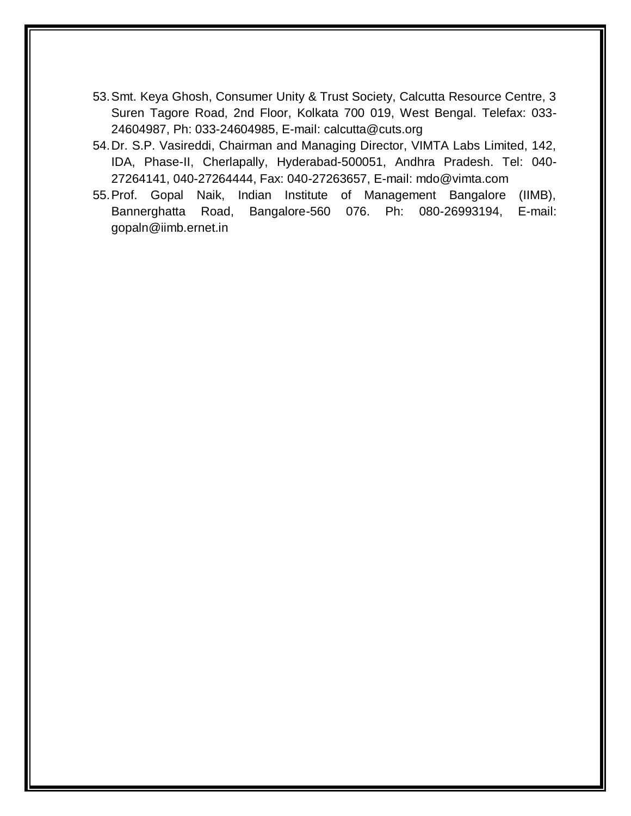- 53.Smt. Keya Ghosh, Consumer Unity & Trust Society, Calcutta Resource Centre, 3 Suren Tagore Road, 2nd Floor, Kolkata 700 019, West Bengal. Telefax: 033- 24604987, Ph: 033-24604985, E-mail: [calcutta@cuts.org](mailto:calcutta@cuts.org)
- 54.Dr. S.P. Vasireddi, Chairman and Managing Director, VIMTA Labs Limited, 142, IDA, Phase-II, Cherlapally, Hyderabad-500051, Andhra Pradesh. Tel: 040- 27264141, 040-27264444, Fax: 040-27263657, E-mail: [mdo@vimta.com](mailto:mdo@vimta.com)
- 55.Prof. Gopal Naik, Indian Institute of Management Bangalore (IIMB), Bannerghatta Road, Bangalore-560 076. Ph: 080-26993194, E-mail: [gopaln@iimb.ernet.in](mailto:gopaln@iimb.ernet.in)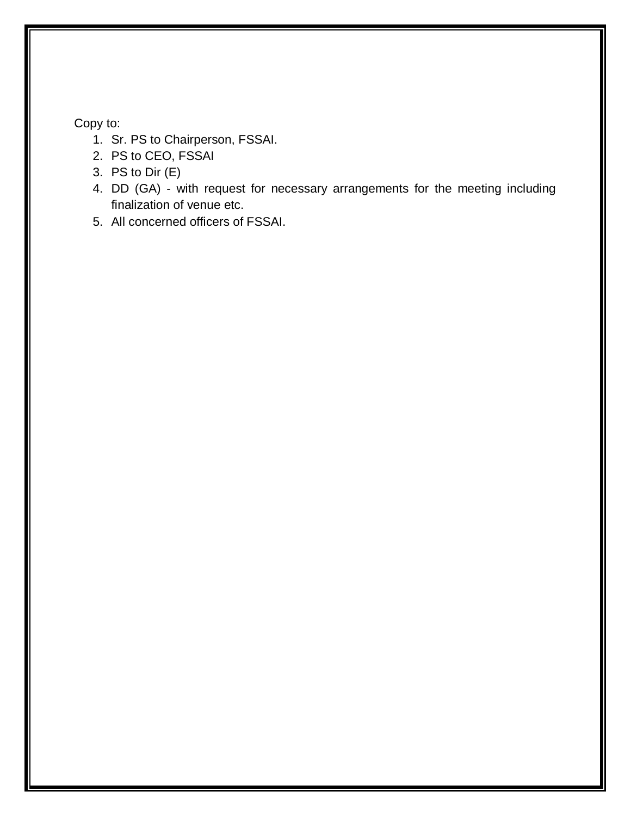## Copy to:

- 1. Sr. PS to Chairperson, FSSAI.
- 2. PS to CEO, FSSAI
- 3. PS to Dir (E)
- 4. DD (GA) with request for necessary arrangements for the meeting including finalization of venue etc.
- 5. All concerned officers of FSSAI.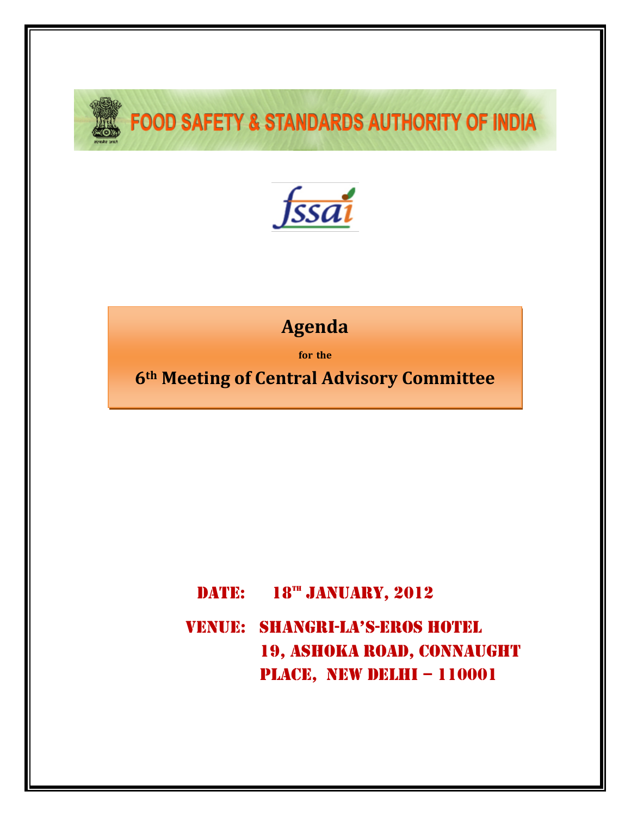

# **FOOD SAFETY & STANDARDS AUTHORITY OF INDIA**



## **Agenda**

**for the**

**6th Meeting of Central Advisory Committee**

## DATE:  $18^{m}$  JANUARY, 2012

VENUE: Shangri-LA's-eros Hotel 19, ashoka road, Connaught PLACE, NEW DELHI – 110001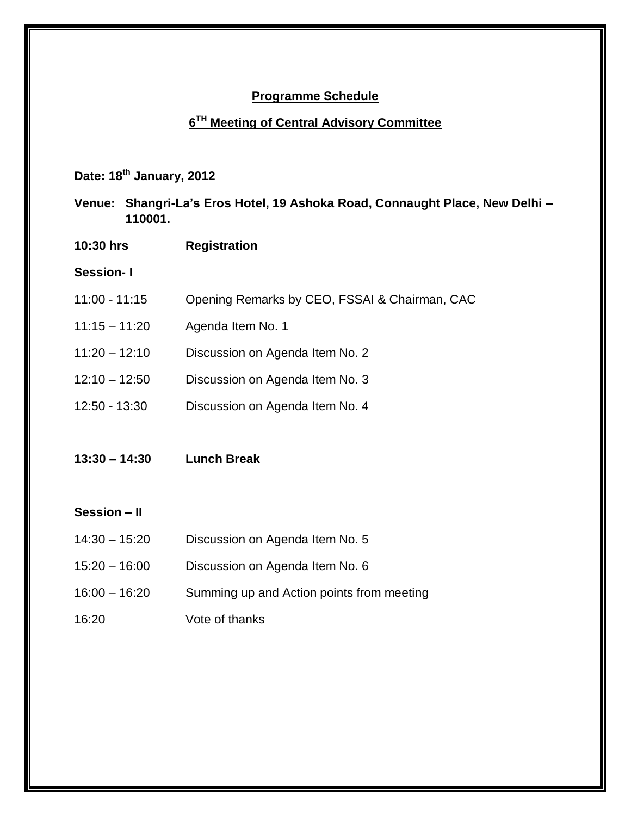## **Programme Schedule**

## **6 TH Meeting of Central Advisory Committee**

**Date: 18th January, 2012**

- **Venue: Shangri-La's Eros Hotel, 19 Ashoka Road, Connaught Place, New Delhi – 110001.**
- **10:30 hrs Registration**

#### **Session- I**

- 11:00 11:15 Opening Remarks by CEO, FSSAI & Chairman, CAC
- 11:15 11:20 Agenda Item No. 1
- 11:20 12:10 Discussion on Agenda Item No. 2
- 12:10 12:50 Discussion on Agenda Item No. 3
- 12:50 13:30 Discussion on Agenda Item No. 4
- **13:30 – 14:30 Lunch Break**

#### **Session – II**

- 14:30 15:20 Discussion on Agenda Item No. 5
- 15:20 16:00 Discussion on Agenda Item No. 6
- 16:00 16:20 Summing up and Action points from meeting
- 16:20 Vote of thanks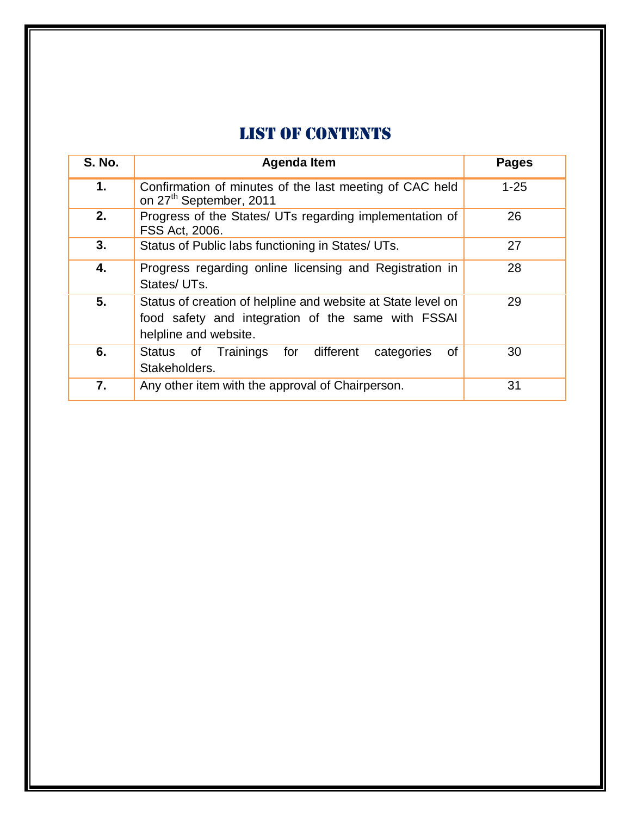## LIST OF CONTENTS

| <b>S. No.</b> | <b>Agenda Item</b>                                                                                                                          | <b>Pages</b> |
|---------------|---------------------------------------------------------------------------------------------------------------------------------------------|--------------|
| 1.            | Confirmation of minutes of the last meeting of CAC held<br>on 27 <sup>th</sup> September, 2011                                              | $1 - 25$     |
| 2.            | Progress of the States/ UTs regarding implementation of<br>FSS Act, 2006.                                                                   | 26           |
| 3.            | Status of Public labs functioning in States/ UTs.                                                                                           | 27           |
| 4.            | Progress regarding online licensing and Registration in<br>States/UTs.                                                                      | 28           |
| 5.            | Status of creation of helpline and website at State level on<br>food safety and integration of the same with FSSAI<br>helpline and website. | 29           |
| 6.            | Status of Trainings for different<br>0f<br>categories<br>Stakeholders.                                                                      | 30           |
| 7.            | Any other item with the approval of Chairperson.                                                                                            | 31           |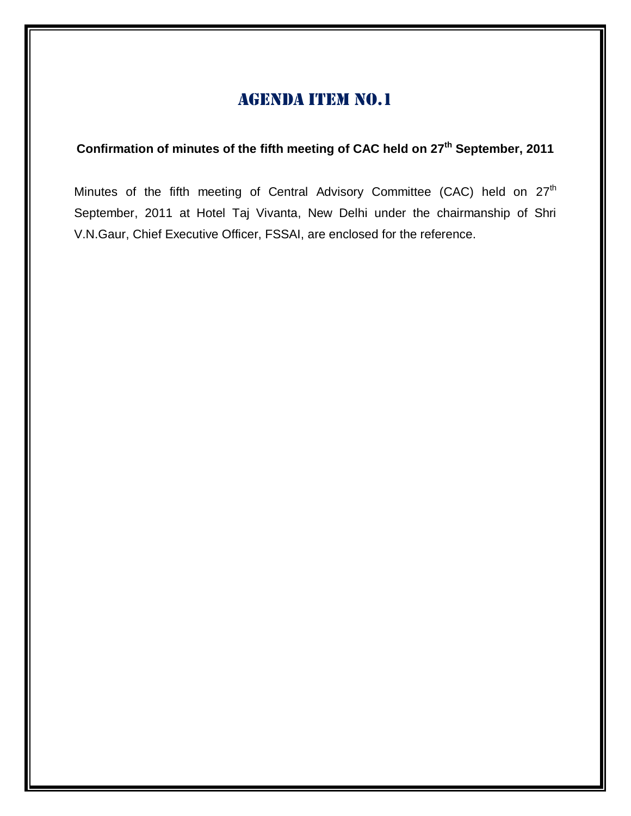## **Confirmation of minutes of the fifth meeting of CAC held on 27 th September, 2011**

Minutes of the fifth meeting of Central Advisory Committee (CAC) held on 27<sup>th</sup> September, 2011 at Hotel Taj Vivanta, New Delhi under the chairmanship of Shri V.N.Gaur, Chief Executive Officer, FSSAI, are enclosed for the reference.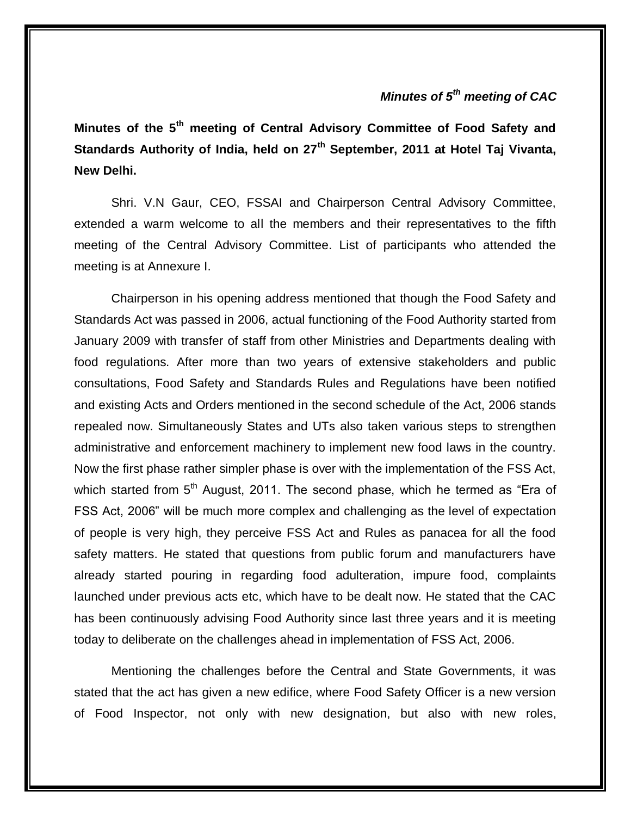## *Minutes of 5th meeting of CAC*

**Minutes of the 5th meeting of Central Advisory Committee of Food Safety and Standards Authority of India, held on 27th September, 2011 at Hotel Taj Vivanta, New Delhi.**

Shri. V.N Gaur, CEO, FSSAI and Chairperson Central Advisory Committee, extended a warm welcome to all the members and their representatives to the fifth meeting of the Central Advisory Committee. List of participants who attended the meeting is at Annexure I.

Chairperson in his opening address mentioned that though the Food Safety and Standards Act was passed in 2006, actual functioning of the Food Authority started from January 2009 with transfer of staff from other Ministries and Departments dealing with food regulations. After more than two years of extensive stakeholders and public consultations, Food Safety and Standards Rules and Regulations have been notified and existing Acts and Orders mentioned in the second schedule of the Act, 2006 stands repealed now. Simultaneously States and UTs also taken various steps to strengthen administrative and enforcement machinery to implement new food laws in the country. Now the first phase rather simpler phase is over with the implementation of the FSS Act, which started from 5<sup>th</sup> August, 2011. The second phase, which he termed as "Era of FSS Act, 2006" will be much more complex and challenging as the level of expectation of people is very high, they perceive FSS Act and Rules as panacea for all the food safety matters. He stated that questions from public forum and manufacturers have already started pouring in regarding food adulteration, impure food, complaints launched under previous acts etc, which have to be dealt now. He stated that the CAC has been continuously advising Food Authority since last three years and it is meeting today to deliberate on the challenges ahead in implementation of FSS Act, 2006.

Mentioning the challenges before the Central and State Governments, it was stated that the act has given a new edifice, where Food Safety Officer is a new version of Food Inspector, not only with new designation, but also with new roles,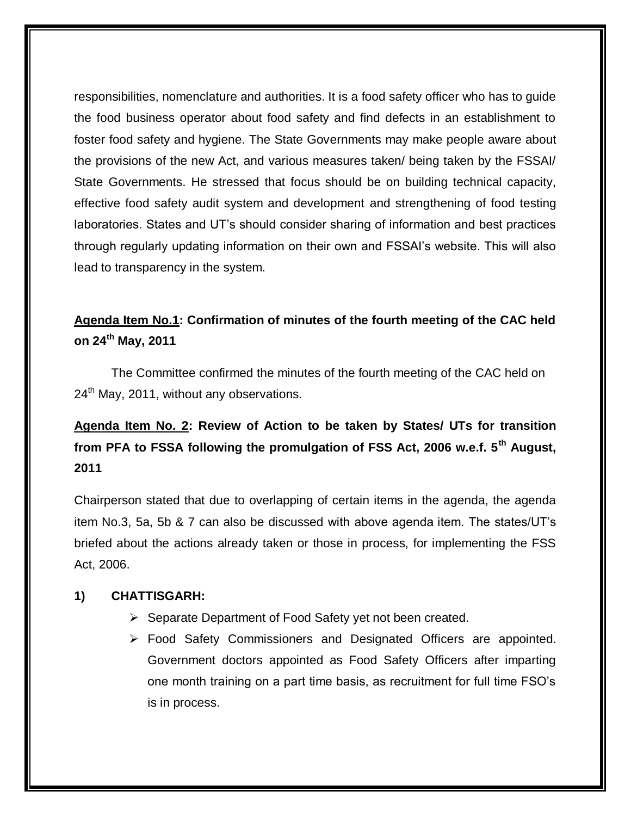responsibilities, nomenclature and authorities. It is a food safety officer who has to guide the food business operator about food safety and find defects in an establishment to foster food safety and hygiene. The State Governments may make people aware about the provisions of the new Act, and various measures taken/ being taken by the FSSAI/ State Governments. He stressed that focus should be on building technical capacity, effective food safety audit system and development and strengthening of food testing laboratories. States and UT's should consider sharing of information and best practices through regularly updating information on their own and FSSAI's website. This will also lead to transparency in the system.

## **Agenda Item No.1: Confirmation of minutes of the fourth meeting of the CAC held on 24th May, 2011**

The Committee confirmed the minutes of the fourth meeting of the CAC held on  $24<sup>th</sup>$  May, 2011, without any observations.

**Agenda Item No. 2: Review of Action to be taken by States/ UTs for transition from PFA to FSSA following the promulgation of FSS Act, 2006 w.e.f. 5th August, 2011** 

Chairperson stated that due to overlapping of certain items in the agenda, the agenda item No.3, 5a, 5b & 7 can also be discussed with above agenda item. The states/UT's briefed about the actions already taken or those in process, for implementing the FSS Act, 2006.

## **1) CHATTISGARH:**

- $\triangleright$  Separate Department of Food Safety yet not been created.
- Food Safety Commissioners and Designated Officers are appointed. Government doctors appointed as Food Safety Officers after imparting one month training on a part time basis, as recruitment for full time FSO's is in process.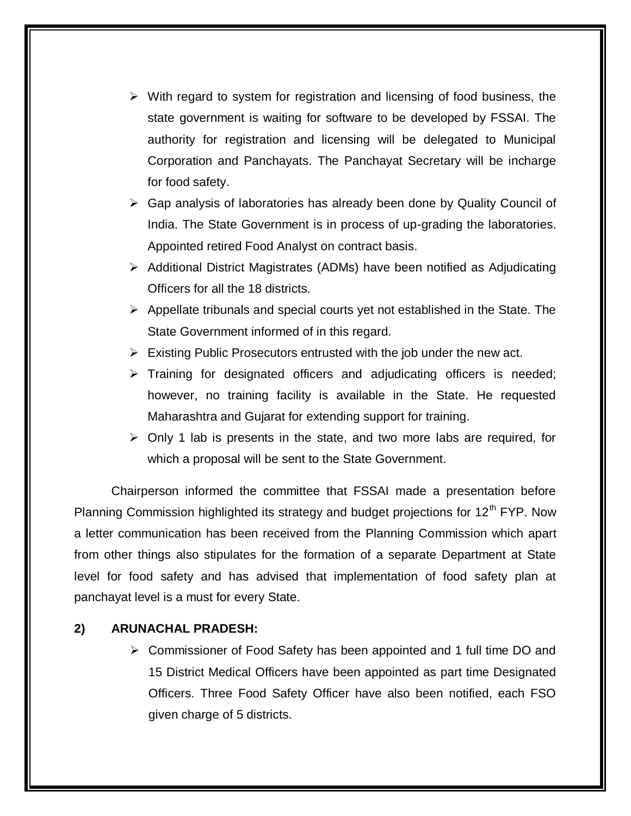- $\triangleright$  With regard to system for registration and licensing of food business, the state government is waiting for software to be developed by FSSAI. The authority for registration and licensing will be delegated to Municipal Corporation and Panchayats. The Panchayat Secretary will be incharge for food safety.
- Gap analysis of laboratories has already been done by Quality Council of India. The State Government is in process of up-grading the laboratories. Appointed retired Food Analyst on contract basis.
- Additional District Magistrates (ADMs) have been notified as Adjudicating Officers for all the 18 districts.
- $\triangleright$  Appellate tribunals and special courts yet not established in the State. The State Government informed of in this regard.
- $\triangleright$  Existing Public Prosecutors entrusted with the job under the new act.
- $\triangleright$  Training for designated officers and adjudicating officers is needed; however, no training facility is available in the State. He requested Maharashtra and Gujarat for extending support for training.
- $\triangleright$  Only 1 lab is presents in the state, and two more labs are required, for which a proposal will be sent to the State Government.

Chairperson informed the committee that FSSAI made a presentation before Planning Commission highlighted its strategy and budget projections for  $12<sup>th</sup> FYP$ . Now a letter communication has been received from the Planning Commission which apart from other things also stipulates for the formation of a separate Department at State level for food safety and has advised that implementation of food safety plan at panchayat level is a must for every State.

## **2) ARUNACHAL PRADESH:**

 Commissioner of Food Safety has been appointed and 1 full time DO and 15 District Medical Officers have been appointed as part time Designated Officers. Three Food Safety Officer have also been notified, each FSO given charge of 5 districts.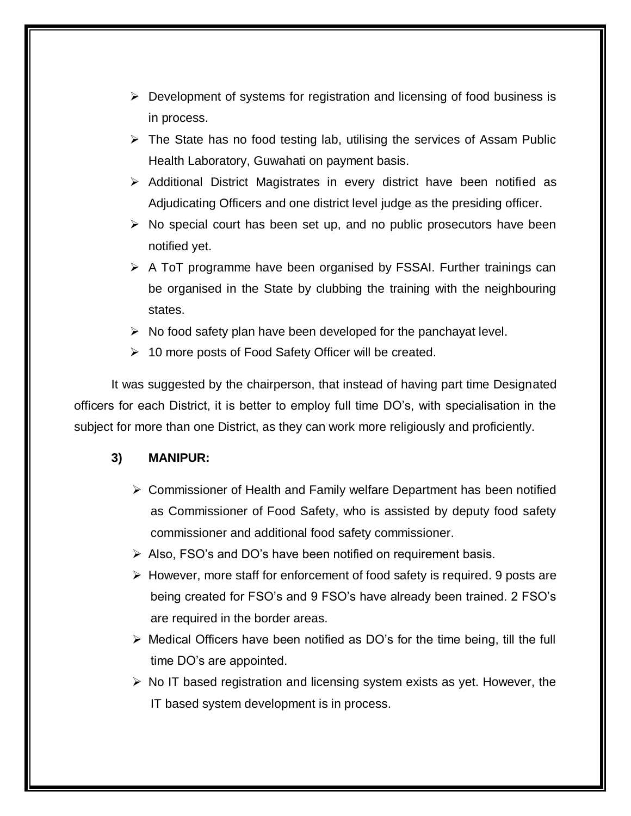- $\triangleright$  Development of systems for registration and licensing of food business is in process.
- $\triangleright$  The State has no food testing lab, utilising the services of Assam Public Health Laboratory, Guwahati on payment basis.
- $\triangleright$  Additional District Magistrates in every district have been notified as Adjudicating Officers and one district level judge as the presiding officer.
- $\triangleright$  No special court has been set up, and no public prosecutors have been notified yet.
- $\triangleright$  A ToT programme have been organised by FSSAI. Further trainings can be organised in the State by clubbing the training with the neighbouring states.
- $\triangleright$  No food safety plan have been developed for the panchayat level.
- 10 more posts of Food Safety Officer will be created.

It was suggested by the chairperson, that instead of having part time Designated officers for each District, it is better to employ full time DO's, with specialisation in the subject for more than one District, as they can work more religiously and proficiently.

## **3) MANIPUR:**

- Commissioner of Health and Family welfare Department has been notified as Commissioner of Food Safety, who is assisted by deputy food safety commissioner and additional food safety commissioner.
- $\triangleright$  Also, FSO's and DO's have been notified on requirement basis.
- $\triangleright$  However, more staff for enforcement of food safety is required. 9 posts are being created for FSO's and 9 FSO's have already been trained. 2 FSO's are required in the border areas.
- $\triangleright$  Medical Officers have been notified as DO's for the time being, till the full time DO's are appointed.
- $\triangleright$  No IT based registration and licensing system exists as yet. However, the IT based system development is in process.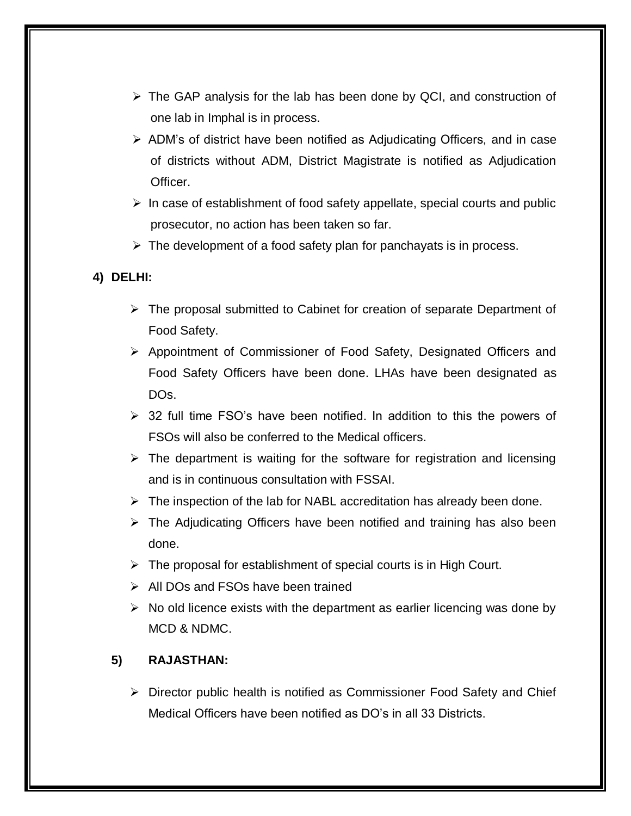- $\triangleright$  The GAP analysis for the lab has been done by QCI, and construction of one lab in Imphal is in process.
- $\triangleright$  ADM's of district have been notified as Adjudicating Officers, and in case of districts without ADM, District Magistrate is notified as Adjudication Officer.
- $\triangleright$  In case of establishment of food safety appellate, special courts and public prosecutor, no action has been taken so far.
- $\triangleright$  The development of a food safety plan for panchayats is in process.

## **4) DELHI:**

- $\triangleright$  The proposal submitted to Cabinet for creation of separate Department of Food Safety.
- Appointment of Commissioner of Food Safety, Designated Officers and Food Safety Officers have been done. LHAs have been designated as DOs.
- $\geq$  32 full time FSO's have been notified. In addition to this the powers of FSOs will also be conferred to the Medical officers.
- $\triangleright$  The department is waiting for the software for registration and licensing and is in continuous consultation with FSSAI.
- $\triangleright$  The inspection of the lab for NABL accreditation has already been done.
- $\triangleright$  The Adjudicating Officers have been notified and training has also been done.
- $\triangleright$  The proposal for establishment of special courts is in High Court.
- $\triangleright$  All DOs and FSOs have been trained
- $\triangleright$  No old licence exists with the department as earlier licencing was done by MCD & NDMC.

## **5) RAJASTHAN:**

 $\triangleright$  Director public health is notified as Commissioner Food Safety and Chief Medical Officers have been notified as DO's in all 33 Districts.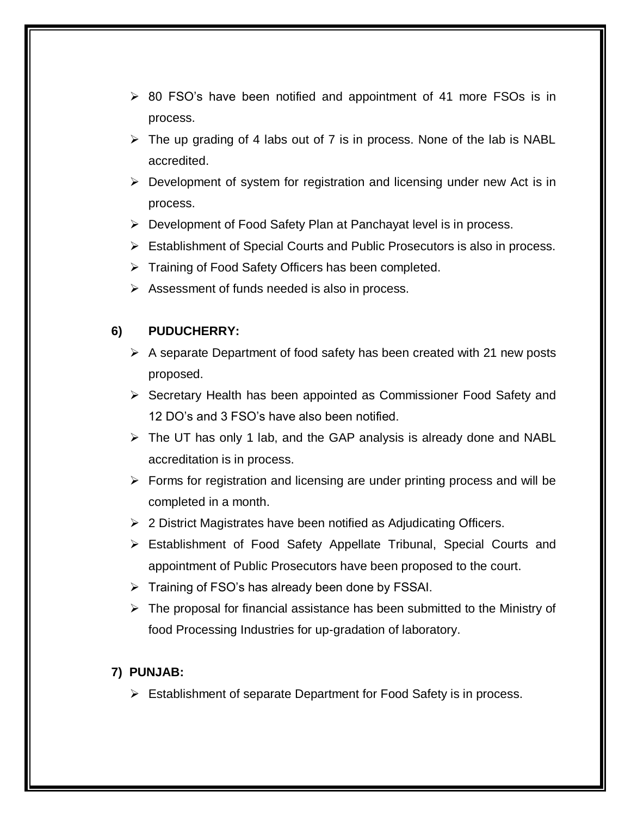- $\geq$  80 FSO's have been notified and appointment of 41 more FSOs is in process.
- $\triangleright$  The up grading of 4 labs out of 7 is in process. None of the lab is NABL accredited.
- $\triangleright$  Development of system for registration and licensing under new Act is in process.
- Development of Food Safety Plan at Panchayat level is in process.
- Establishment of Special Courts and Public Prosecutors is also in process.
- $\triangleright$  Training of Food Safety Officers has been completed.
- $\triangleright$  Assessment of funds needed is also in process.

#### **6) PUDUCHERRY:**

- $\triangleright$  A separate Department of food safety has been created with 21 new posts proposed.
- $\triangleright$  Secretary Health has been appointed as Commissioner Food Safety and 12 DO's and 3 FSO's have also been notified.
- $\triangleright$  The UT has only 1 lab, and the GAP analysis is already done and NABL accreditation is in process.
- $\triangleright$  Forms for registration and licensing are under printing process and will be completed in a month.
- $\geq 2$  District Magistrates have been notified as Adjudicating Officers.
- Establishment of Food Safety Appellate Tribunal, Special Courts and appointment of Public Prosecutors have been proposed to the court.
- $\triangleright$  Training of FSO's has already been done by FSSAI.
- $\triangleright$  The proposal for financial assistance has been submitted to the Ministry of food Processing Industries for up-gradation of laboratory.

#### **7) PUNJAB:**

 $\triangleright$  Establishment of separate Department for Food Safety is in process.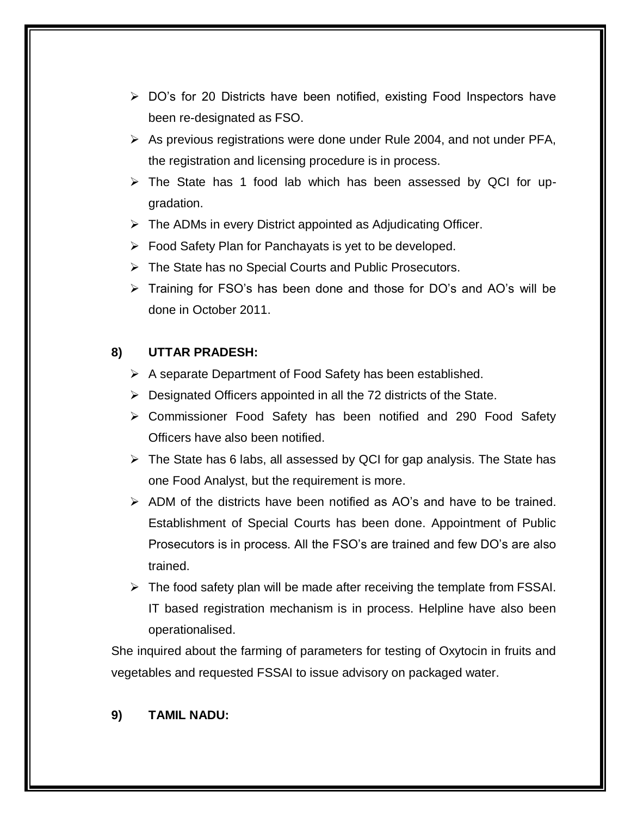- $\triangleright$  DO's for 20 Districts have been notified, existing Food Inspectors have been re-designated as FSO.
- $\triangleright$  As previous registrations were done under Rule 2004, and not under PFA, the registration and licensing procedure is in process.
- $\triangleright$  The State has 1 food lab which has been assessed by QCI for upgradation.
- $\triangleright$  The ADMs in every District appointed as Adjudicating Officer.
- $\triangleright$  Food Safety Plan for Panchayats is yet to be developed.
- The State has no Special Courts and Public Prosecutors.
- > Training for FSO's has been done and those for DO's and AO's will be done in October 2011.

## **8) UTTAR PRADESH:**

- $\triangleright$  A separate Department of Food Safety has been established.
- $\triangleright$  Designated Officers appointed in all the 72 districts of the State.
- Commissioner Food Safety has been notified and 290 Food Safety Officers have also been notified.
- $\triangleright$  The State has 6 labs, all assessed by QCI for gap analysis. The State has one Food Analyst, but the requirement is more.
- $\triangleright$  ADM of the districts have been notified as AO's and have to be trained. Establishment of Special Courts has been done. Appointment of Public Prosecutors is in process. All the FSO's are trained and few DO's are also trained.
- $\triangleright$  The food safety plan will be made after receiving the template from FSSAI. IT based registration mechanism is in process. Helpline have also been operationalised.

She inquired about the farming of parameters for testing of Oxytocin in fruits and vegetables and requested FSSAI to issue advisory on packaged water.

#### **9) TAMIL NADU:**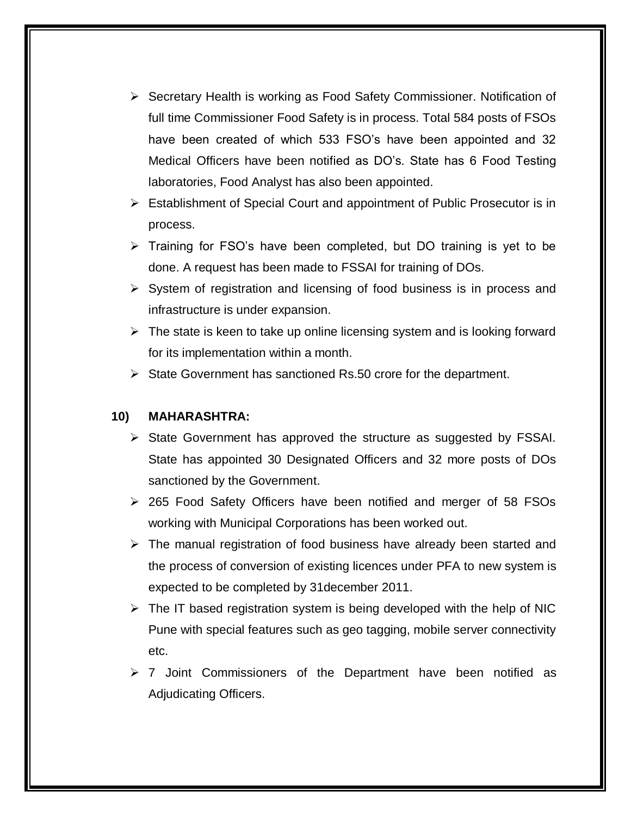- ▶ Secretary Health is working as Food Safety Commissioner. Notification of full time Commissioner Food Safety is in process. Total 584 posts of FSOs have been created of which 533 FSO's have been appointed and 32 Medical Officers have been notified as DO's. State has 6 Food Testing laboratories, Food Analyst has also been appointed.
- Establishment of Special Court and appointment of Public Prosecutor is in process.
- $\triangleright$  Training for FSO's have been completed, but DO training is yet to be done. A request has been made to FSSAI for training of DOs.
- $\triangleright$  System of registration and licensing of food business is in process and infrastructure is under expansion.
- $\triangleright$  The state is keen to take up online licensing system and is looking forward for its implementation within a month.
- $\triangleright$  State Government has sanctioned Rs.50 crore for the department.

#### **10) MAHARASHTRA:**

- $\triangleright$  State Government has approved the structure as suggested by FSSAI. State has appointed 30 Designated Officers and 32 more posts of DOs sanctioned by the Government.
- 265 Food Safety Officers have been notified and merger of 58 FSOs working with Municipal Corporations has been worked out.
- $\triangleright$  The manual registration of food business have already been started and the process of conversion of existing licences under PFA to new system is expected to be completed by 31december 2011.
- $\triangleright$  The IT based registration system is being developed with the help of NIC Pune with special features such as geo tagging, mobile server connectivity etc.
- $\geq 7$  Joint Commissioners of the Department have been notified as Adjudicating Officers.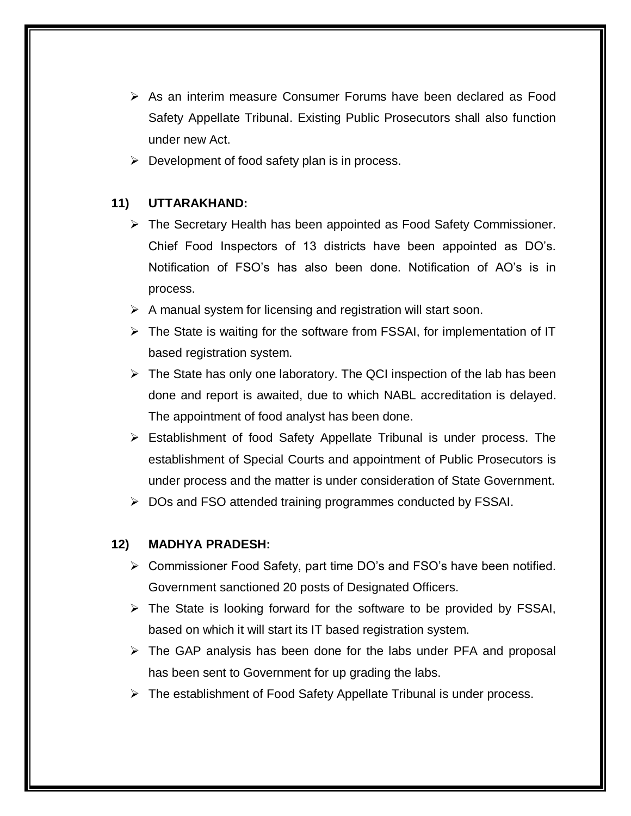- $\triangleright$  As an interim measure Consumer Forums have been declared as Food Safety Appellate Tribunal. Existing Public Prosecutors shall also function under new Act.
- $\triangleright$  Development of food safety plan is in process.

## **11) UTTARAKHAND:**

- $\triangleright$  The Secretary Health has been appointed as Food Safety Commissioner. Chief Food Inspectors of 13 districts have been appointed as DO's. Notification of FSO's has also been done. Notification of AO's is in process.
- $\triangleright$  A manual system for licensing and registration will start soon.
- $\triangleright$  The State is waiting for the software from FSSAI, for implementation of IT based registration system.
- $\triangleright$  The State has only one laboratory. The QCI inspection of the lab has been done and report is awaited, due to which NABL accreditation is delayed. The appointment of food analyst has been done.
- Establishment of food Safety Appellate Tribunal is under process. The establishment of Special Courts and appointment of Public Prosecutors is under process and the matter is under consideration of State Government.
- $\triangleright$  DOs and FSO attended training programmes conducted by FSSAI.

## **12) MADHYA PRADESH:**

- Commissioner Food Safety, part time DO's and FSO's have been notified. Government sanctioned 20 posts of Designated Officers.
- $\triangleright$  The State is looking forward for the software to be provided by FSSAI, based on which it will start its IT based registration system.
- $\triangleright$  The GAP analysis has been done for the labs under PFA and proposal has been sent to Government for up grading the labs.
- $\triangleright$  The establishment of Food Safety Appellate Tribunal is under process.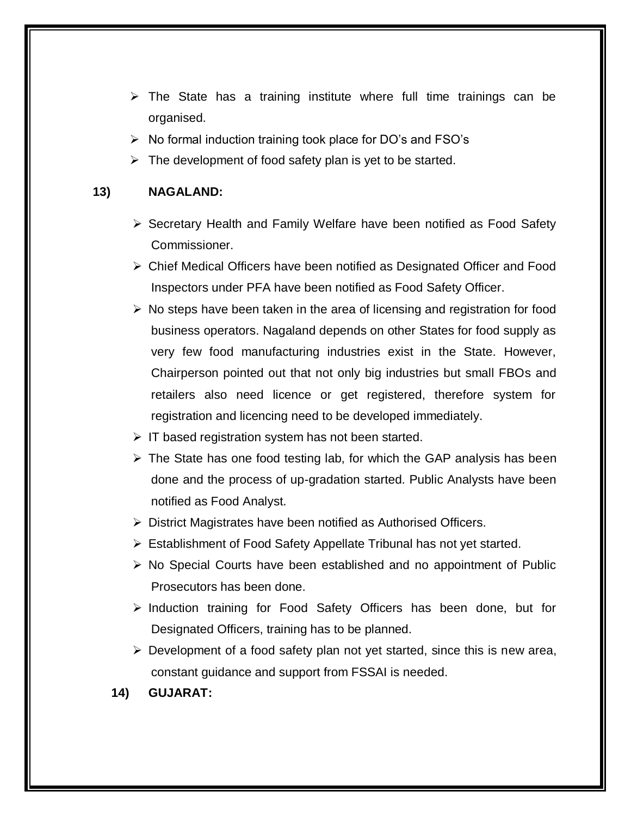- $\triangleright$  The State has a training institute where full time trainings can be organised.
- $\triangleright$  No formal induction training took place for DO's and FSO's
- $\triangleright$  The development of food safety plan is yet to be started.

#### **13) NAGALAND:**

- $\triangleright$  Secretary Health and Family Welfare have been notified as Food Safety Commissioner.
- Chief Medical Officers have been notified as Designated Officer and Food Inspectors under PFA have been notified as Food Safety Officer.
- $\triangleright$  No steps have been taken in the area of licensing and registration for food business operators. Nagaland depends on other States for food supply as very few food manufacturing industries exist in the State. However, Chairperson pointed out that not only big industries but small FBOs and retailers also need licence or get registered, therefore system for registration and licencing need to be developed immediately.
- $\triangleright$  IT based registration system has not been started.
- $\triangleright$  The State has one food testing lab, for which the GAP analysis has been done and the process of up-gradation started. Public Analysts have been notified as Food Analyst.
- District Magistrates have been notified as Authorised Officers.
- Establishment of Food Safety Appellate Tribunal has not yet started.
- $\triangleright$  No Special Courts have been established and no appointment of Public Prosecutors has been done.
- $\triangleright$  Induction training for Food Safety Officers has been done, but for Designated Officers, training has to be planned.
- $\triangleright$  Development of a food safety plan not yet started, since this is new area, constant guidance and support from FSSAI is needed.
- **14) GUJARAT:**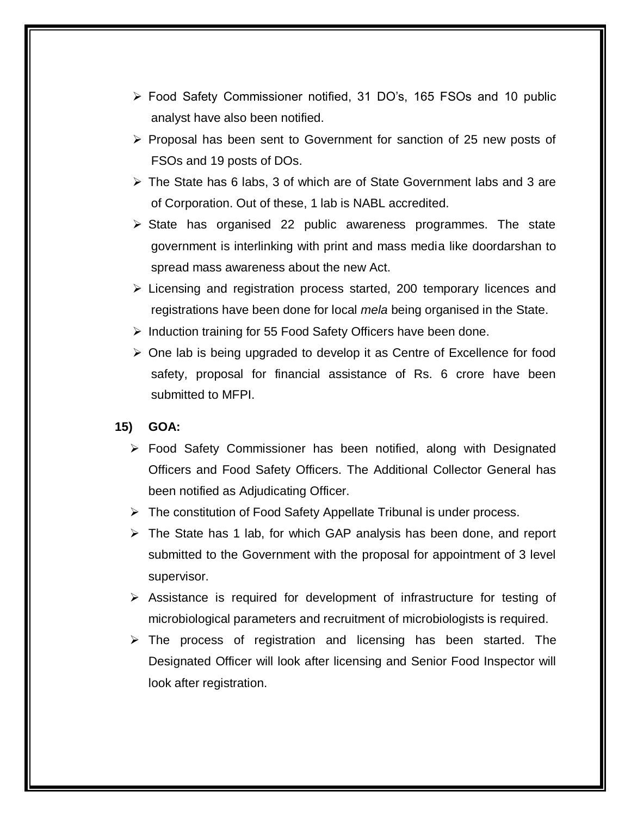- Food Safety Commissioner notified, 31 DO's, 165 FSOs and 10 public analyst have also been notified.
- $\triangleright$  Proposal has been sent to Government for sanction of 25 new posts of FSOs and 19 posts of DOs.
- $\triangleright$  The State has 6 labs, 3 of which are of State Government labs and 3 are of Corporation. Out of these, 1 lab is NABL accredited.
- $\triangleright$  State has organised 22 public awareness programmes. The state government is interlinking with print and mass media like doordarshan to spread mass awareness about the new Act.
- $\triangleright$  Licensing and registration process started, 200 temporary licences and registrations have been done for local *mela* being organised in the State.
- $\triangleright$  Induction training for 55 Food Safety Officers have been done.
- $\triangleright$  One lab is being upgraded to develop it as Centre of Excellence for food safety, proposal for financial assistance of Rs. 6 crore have been submitted to MFPI.

#### **15) GOA:**

- Food Safety Commissioner has been notified, along with Designated Officers and Food Safety Officers. The Additional Collector General has been notified as Adjudicating Officer.
- $\triangleright$  The constitution of Food Safety Appellate Tribunal is under process.
- $\triangleright$  The State has 1 lab, for which GAP analysis has been done, and report submitted to the Government with the proposal for appointment of 3 level supervisor.
- $\triangleright$  Assistance is required for development of infrastructure for testing of microbiological parameters and recruitment of microbiologists is required.
- $\triangleright$  The process of registration and licensing has been started. The Designated Officer will look after licensing and Senior Food Inspector will look after registration.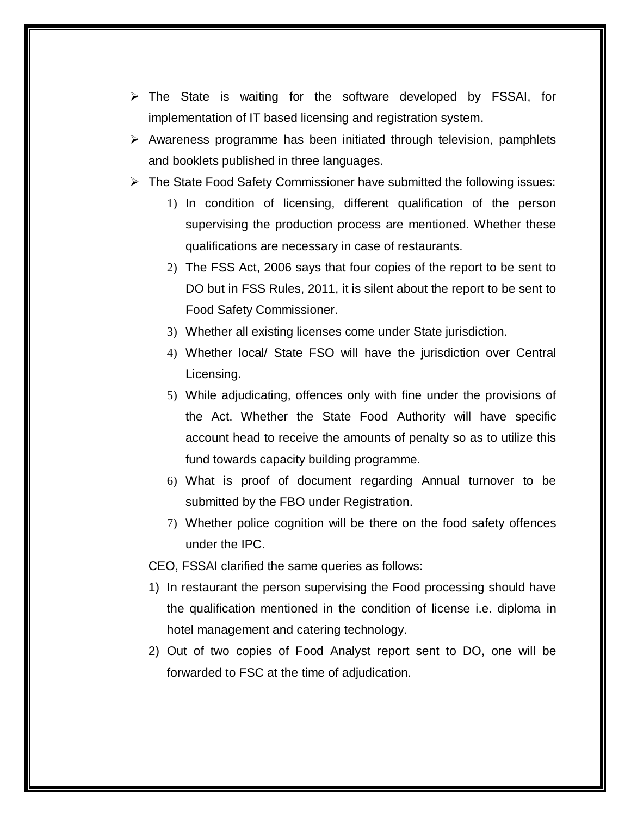- $\triangleright$  The State is waiting for the software developed by FSSAI, for implementation of IT based licensing and registration system.
- $\triangleright$  Awareness programme has been initiated through television, pamphlets and booklets published in three languages.
- $\triangleright$  The State Food Safety Commissioner have submitted the following issues:
	- 1) In condition of licensing, different qualification of the person supervising the production process are mentioned. Whether these qualifications are necessary in case of restaurants.
	- 2) The FSS Act, 2006 says that four copies of the report to be sent to DO but in FSS Rules, 2011, it is silent about the report to be sent to Food Safety Commissioner.
	- 3) Whether all existing licenses come under State jurisdiction.
	- 4) Whether local/ State FSO will have the jurisdiction over Central Licensing.
	- 5) While adjudicating, offences only with fine under the provisions of the Act. Whether the State Food Authority will have specific account head to receive the amounts of penalty so as to utilize this fund towards capacity building programme.
	- 6) What is proof of document regarding Annual turnover to be submitted by the FBO under Registration.
	- 7) Whether police cognition will be there on the food safety offences under the IPC.
	- CEO, FSSAI clarified the same queries as follows:
	- 1) In restaurant the person supervising the Food processing should have the qualification mentioned in the condition of license i.e. diploma in hotel management and catering technology.
	- 2) Out of two copies of Food Analyst report sent to DO, one will be forwarded to FSC at the time of adjudication.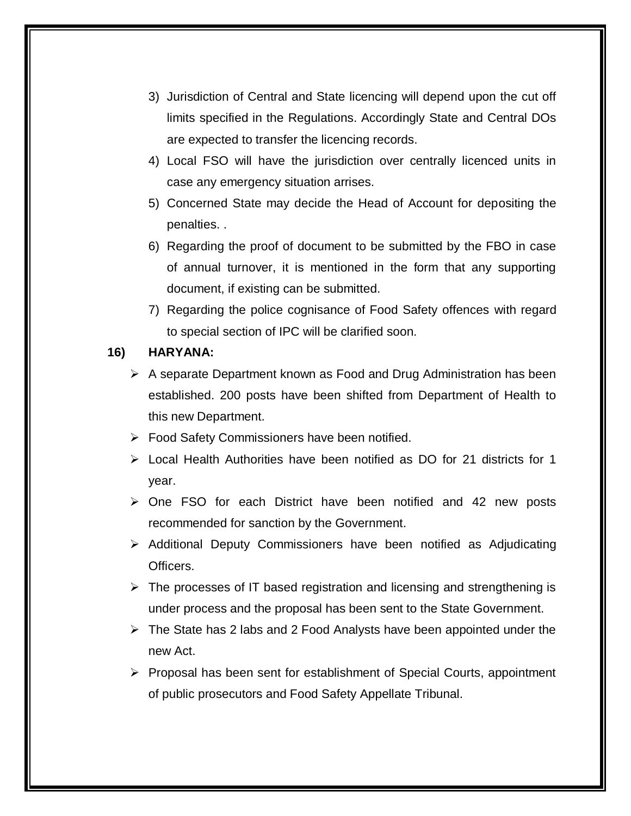- 3) Jurisdiction of Central and State licencing will depend upon the cut off limits specified in the Regulations. Accordingly State and Central DOs are expected to transfer the licencing records.
- 4) Local FSO will have the jurisdiction over centrally licenced units in case any emergency situation arrises.
- 5) Concerned State may decide the Head of Account for depositing the penalties. .
- 6) Regarding the proof of document to be submitted by the FBO in case of annual turnover, it is mentioned in the form that any supporting document, if existing can be submitted.
- 7) Regarding the police cognisance of Food Safety offences with regard to special section of IPC will be clarified soon.

#### **16) HARYANA:**

- $\triangleright$  A separate Department known as Food and Drug Administration has been established. 200 posts have been shifted from Department of Health to this new Department.
- Food Safety Commissioners have been notified.
- $\triangleright$  Local Health Authorities have been notified as DO for 21 districts for 1 year.
- $\triangleright$  One FSO for each District have been notified and 42 new posts recommended for sanction by the Government.
- $\triangleright$  Additional Deputy Commissioners have been notified as Adjudicating Officers.
- $\triangleright$  The processes of IT based registration and licensing and strengthening is under process and the proposal has been sent to the State Government.
- $\triangleright$  The State has 2 labs and 2 Food Analysts have been appointed under the new Act.
- $\triangleright$  Proposal has been sent for establishment of Special Courts, appointment of public prosecutors and Food Safety Appellate Tribunal.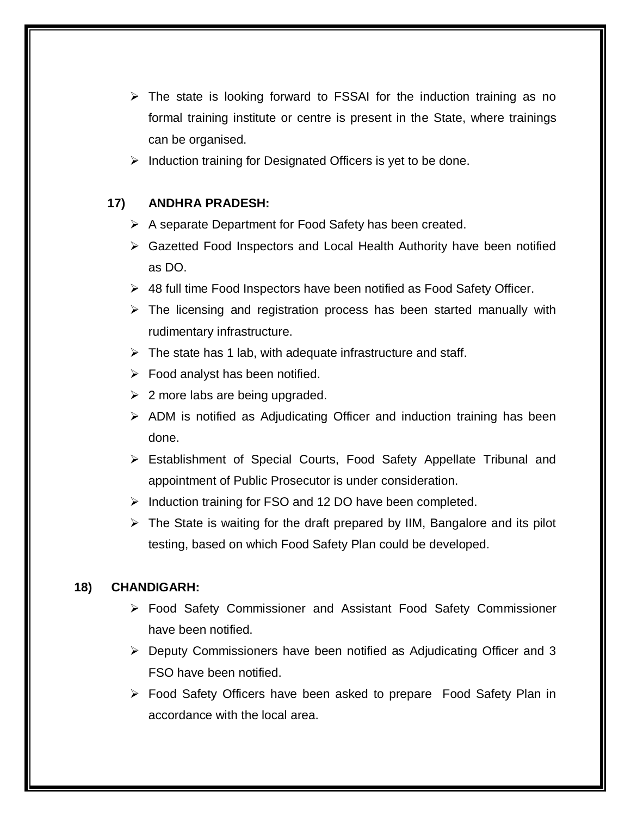- $\triangleright$  The state is looking forward to FSSAI for the induction training as no formal training institute or centre is present in the State, where trainings can be organised.
- $\triangleright$  Induction training for Designated Officers is yet to be done.

## **17) ANDHRA PRADESH:**

- $\triangleright$  A separate Department for Food Safety has been created.
- $\triangleright$  Gazetted Food Inspectors and Local Health Authority have been notified as DO.
- 48 full time Food Inspectors have been notified as Food Safety Officer.
- $\triangleright$  The licensing and registration process has been started manually with rudimentary infrastructure.
- $\triangleright$  The state has 1 lab, with adequate infrastructure and staff.
- $\triangleright$  Food analyst has been notified.
- $\geq$  2 more labs are being upgraded.
- $\triangleright$  ADM is notified as Adjudicating Officer and induction training has been done.
- Establishment of Special Courts, Food Safety Appellate Tribunal and appointment of Public Prosecutor is under consideration.
- $\triangleright$  Induction training for FSO and 12 DO have been completed.
- $\triangleright$  The State is waiting for the draft prepared by IIM, Bangalore and its pilot testing, based on which Food Safety Plan could be developed.

## **18) CHANDIGARH:**

- Food Safety Commissioner and Assistant Food Safety Commissioner have been notified.
- Deputy Commissioners have been notified as Adjudicating Officer and 3 FSO have been notified.
- Food Safety Officers have been asked to prepare Food Safety Plan in accordance with the local area.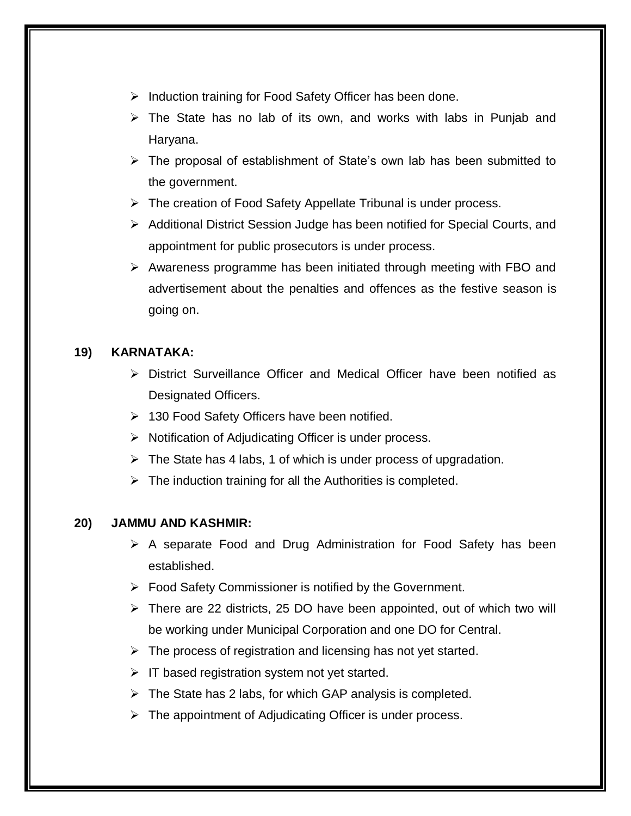- $\triangleright$  Induction training for Food Safety Officer has been done.
- $\triangleright$  The State has no lab of its own, and works with labs in Punjab and Haryana.
- $\triangleright$  The proposal of establishment of State's own lab has been submitted to the government.
- $\triangleright$  The creation of Food Safety Appellate Tribunal is under process.
- Additional District Session Judge has been notified for Special Courts, and appointment for public prosecutors is under process.
- $\triangleright$  Awareness programme has been initiated through meeting with FBO and advertisement about the penalties and offences as the festive season is going on.

## **19) KARNATAKA:**

- $\triangleright$  District Surveillance Officer and Medical Officer have been notified as Designated Officers.
- $\geq$  130 Food Safety Officers have been notified.
- $\triangleright$  Notification of Adjudicating Officer is under process.
- $\triangleright$  The State has 4 labs, 1 of which is under process of upgradation.
- $\triangleright$  The induction training for all the Authorities is completed.

## **20) JAMMU AND KASHMIR:**

- $\triangleright$  A separate Food and Drug Administration for Food Safety has been established.
- $\triangleright$  Food Safety Commissioner is notified by the Government.
- $\triangleright$  There are 22 districts, 25 DO have been appointed, out of which two will be working under Municipal Corporation and one DO for Central.
- $\triangleright$  The process of registration and licensing has not yet started.
- $\triangleright$  IT based registration system not yet started.
- $\triangleright$  The State has 2 labs, for which GAP analysis is completed.
- $\triangleright$  The appointment of Adjudicating Officer is under process.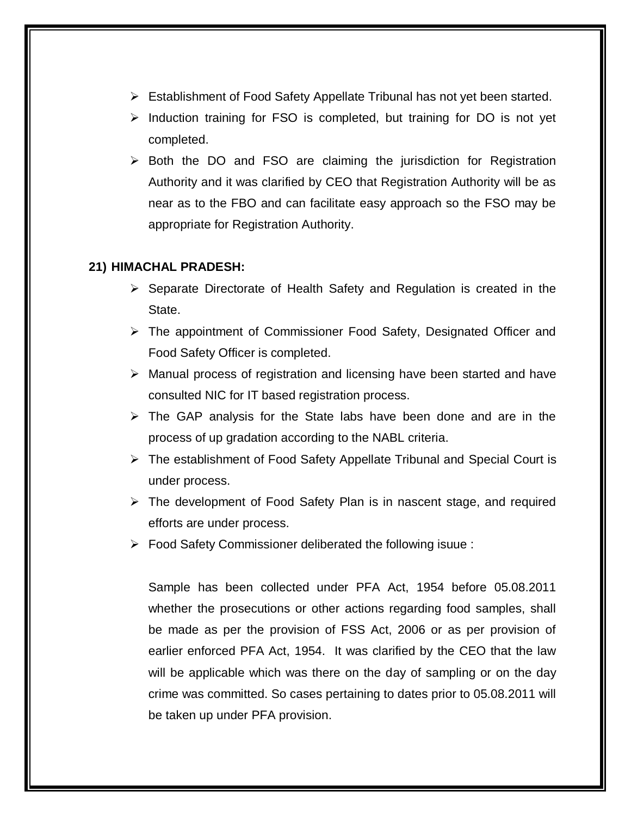- Establishment of Food Safety Appellate Tribunal has not yet been started.
- $\triangleright$  Induction training for FSO is completed, but training for DO is not yet completed.
- $\triangleright$  Both the DO and FSO are claiming the jurisdiction for Registration Authority and it was clarified by CEO that Registration Authority will be as near as to the FBO and can facilitate easy approach so the FSO may be appropriate for Registration Authority.

#### **21) HIMACHAL PRADESH:**

- $\triangleright$  Separate Directorate of Health Safety and Regulation is created in the State.
- $\triangleright$  The appointment of Commissioner Food Safety, Designated Officer and Food Safety Officer is completed.
- $\triangleright$  Manual process of registration and licensing have been started and have consulted NIC for IT based registration process.
- $\triangleright$  The GAP analysis for the State labs have been done and are in the process of up gradation according to the NABL criteria.
- The establishment of Food Safety Appellate Tribunal and Special Court is under process.
- $\triangleright$  The development of Food Safety Plan is in nascent stage, and required efforts are under process.
- Food Safety Commissioner deliberated the following isuue :

Sample has been collected under PFA Act, 1954 before 05.08.2011 whether the prosecutions or other actions regarding food samples, shall be made as per the provision of FSS Act, 2006 or as per provision of earlier enforced PFA Act, 1954. It was clarified by the CEO that the law will be applicable which was there on the day of sampling or on the day crime was committed. So cases pertaining to dates prior to 05.08.2011 will be taken up under PFA provision.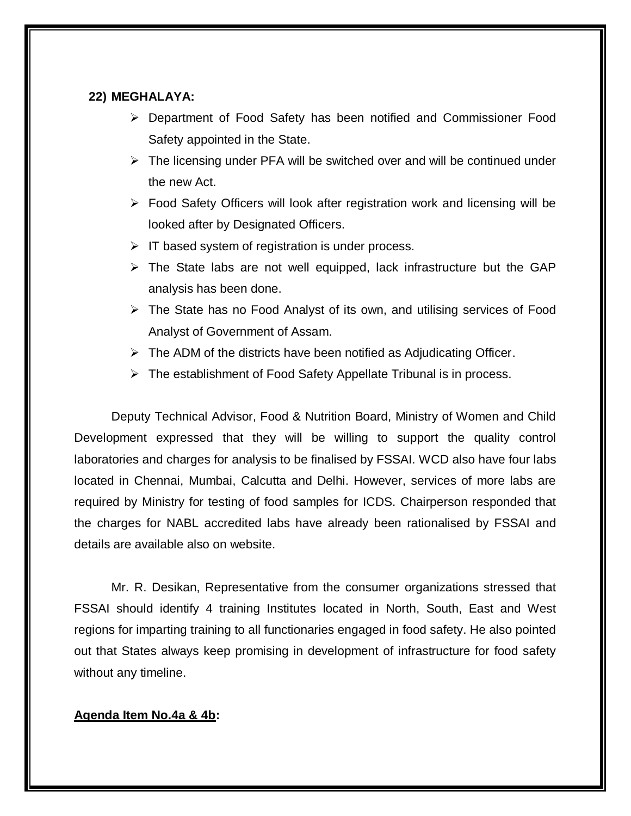#### **22) MEGHALAYA:**

- Department of Food Safety has been notified and Commissioner Food Safety appointed in the State.
- $\triangleright$  The licensing under PFA will be switched over and will be continued under the new Act.
- Food Safety Officers will look after registration work and licensing will be looked after by Designated Officers.
- $\triangleright$  IT based system of registration is under process.
- $\triangleright$  The State labs are not well equipped, lack infrastructure but the GAP analysis has been done.
- The State has no Food Analyst of its own, and utilising services of Food Analyst of Government of Assam.
- $\triangleright$  The ADM of the districts have been notified as Adjudicating Officer.
- $\triangleright$  The establishment of Food Safety Appellate Tribunal is in process.

Deputy Technical Advisor, Food & Nutrition Board, Ministry of Women and Child Development expressed that they will be willing to support the quality control laboratories and charges for analysis to be finalised by FSSAI. WCD also have four labs located in Chennai, Mumbai, Calcutta and Delhi. However, services of more labs are required by Ministry for testing of food samples for ICDS. Chairperson responded that the charges for NABL accredited labs have already been rationalised by FSSAI and details are available also on website.

Mr. R. Desikan, Representative from the consumer organizations stressed that FSSAI should identify 4 training Institutes located in North, South, East and West regions for imparting training to all functionaries engaged in food safety. He also pointed out that States always keep promising in development of infrastructure for food safety without any timeline.

#### **Agenda Item No.4a & 4b:**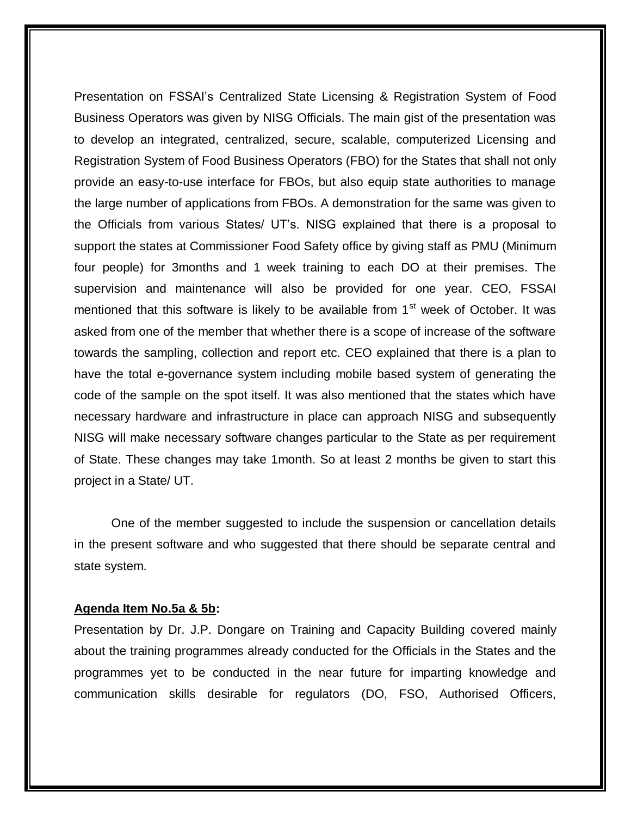Presentation on FSSAI's Centralized State Licensing & Registration System of Food Business Operators was given by NISG Officials. The main gist of the presentation was to develop an integrated, centralized, secure, scalable, computerized Licensing and Registration System of Food Business Operators (FBO) for the States that shall not only provide an easy-to-use interface for FBOs, but also equip state authorities to manage the large number of applications from FBOs. A demonstration for the same was given to the Officials from various States/ UT's. NISG explained that there is a proposal to support the states at Commissioner Food Safety office by giving staff as PMU (Minimum four people) for 3months and 1 week training to each DO at their premises. The supervision and maintenance will also be provided for one year. CEO, FSSAI mentioned that this software is likely to be available from  $1<sup>st</sup>$  week of October. It was asked from one of the member that whether there is a scope of increase of the software towards the sampling, collection and report etc. CEO explained that there is a plan to have the total e-governance system including mobile based system of generating the code of the sample on the spot itself. It was also mentioned that the states which have necessary hardware and infrastructure in place can approach NISG and subsequently NISG will make necessary software changes particular to the State as per requirement of State. These changes may take 1month. So at least 2 months be given to start this project in a State/ UT.

One of the member suggested to include the suspension or cancellation details in the present software and who suggested that there should be separate central and state system.

#### **Agenda Item No.5a & 5b:**

Presentation by Dr. J.P. Dongare on Training and Capacity Building covered mainly about the training programmes already conducted for the Officials in the States and the programmes yet to be conducted in the near future for imparting knowledge and communication skills desirable for regulators (DO, FSO, Authorised Officers,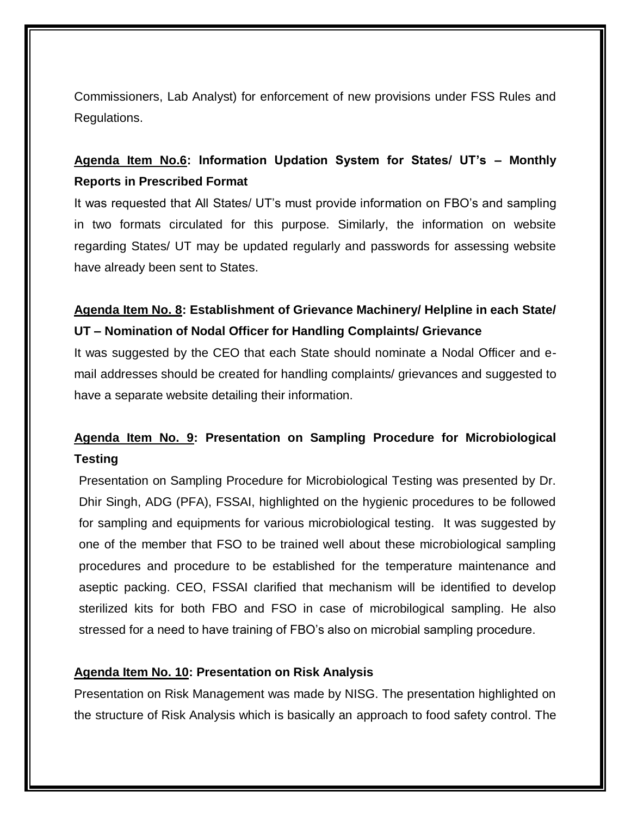Commissioners, Lab Analyst) for enforcement of new provisions under FSS Rules and Regulations.

## **Agenda Item No.6: Information Updation System for States/ UT's – Monthly Reports in Prescribed Format**

It was requested that All States/ UT's must provide information on FBO's and sampling in two formats circulated for this purpose. Similarly, the information on website regarding States/ UT may be updated regularly and passwords for assessing website have already been sent to States.

## **Agenda Item No. 8: Establishment of Grievance Machinery/ Helpline in each State/ UT – Nomination of Nodal Officer for Handling Complaints/ Grievance**

It was suggested by the CEO that each State should nominate a Nodal Officer and email addresses should be created for handling complaints/ grievances and suggested to have a separate website detailing their information.

## **Agenda Item No. 9: Presentation on Sampling Procedure for Microbiological Testing**

Presentation on Sampling Procedure for Microbiological Testing was presented by Dr. Dhir Singh, ADG (PFA), FSSAI, highlighted on the hygienic procedures to be followed for sampling and equipments for various microbiological testing. It was suggested by one of the member that FSO to be trained well about these microbiological sampling procedures and procedure to be established for the temperature maintenance and aseptic packing. CEO, FSSAI clarified that mechanism will be identified to develop sterilized kits for both FBO and FSO in case of microbilogical sampling. He also stressed for a need to have training of FBO's also on microbial sampling procedure.

## **Agenda Item No. 10: Presentation on Risk Analysis**

Presentation on Risk Management was made by NISG. The presentation highlighted on the structure of Risk Analysis which is basically an approach to food safety control. The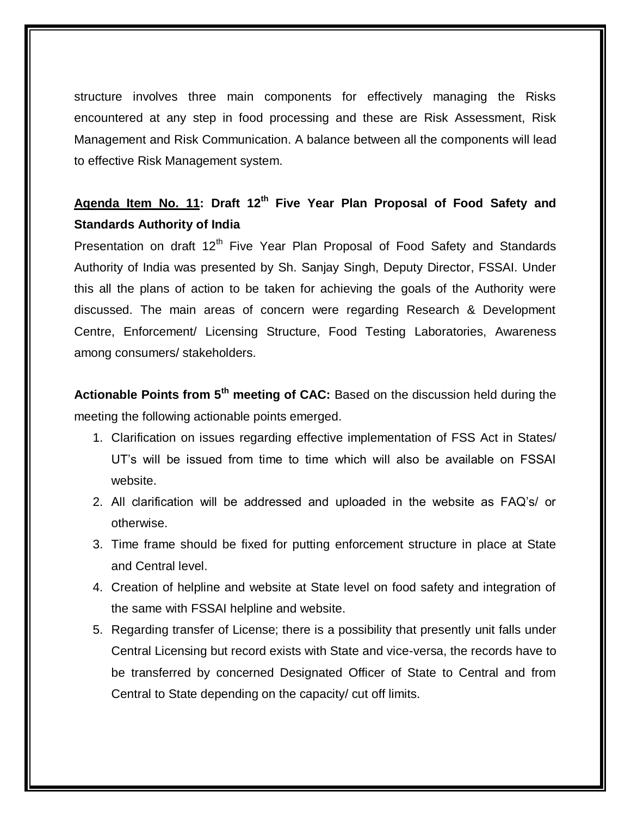structure involves three main components for effectively managing the Risks encountered at any step in food processing and these are Risk Assessment, Risk Management and Risk Communication. A balance between all the components will lead to effective Risk Management system.

## **Agenda Item No. 11: Draft 12th Five Year Plan Proposal of Food Safety and Standards Authority of India**

Presentation on draft 12<sup>th</sup> Five Year Plan Proposal of Food Safety and Standards Authority of India was presented by Sh. Sanjay Singh, Deputy Director, FSSAI. Under this all the plans of action to be taken for achieving the goals of the Authority were discussed. The main areas of concern were regarding Research & Development Centre, Enforcement/ Licensing Structure, Food Testing Laboratories, Awareness among consumers/ stakeholders.

**Actionable Points from 5th meeting of CAC:** Based on the discussion held during the meeting the following actionable points emerged.

- 1. Clarification on issues regarding effective implementation of FSS Act in States/ UT's will be issued from time to time which will also be available on FSSAI website.
- 2. All clarification will be addressed and uploaded in the website as FAQ's/ or otherwise.
- 3. Time frame should be fixed for putting enforcement structure in place at State and Central level.
- 4. Creation of helpline and website at State level on food safety and integration of the same with FSSAI helpline and website.
- 5. Regarding transfer of License; there is a possibility that presently unit falls under Central Licensing but record exists with State and vice-versa, the records have to be transferred by concerned Designated Officer of State to Central and from Central to State depending on the capacity/ cut off limits.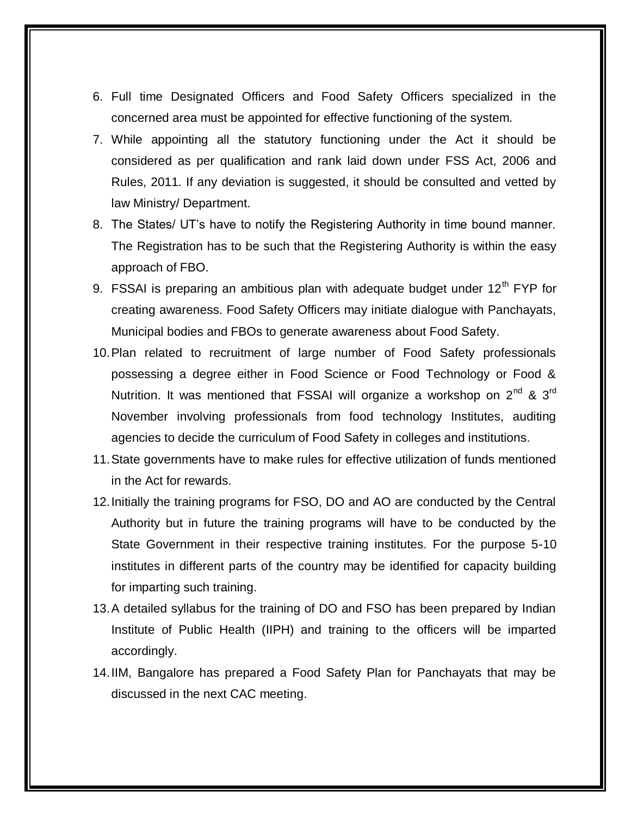- 6. Full time Designated Officers and Food Safety Officers specialized in the concerned area must be appointed for effective functioning of the system.
- 7. While appointing all the statutory functioning under the Act it should be considered as per qualification and rank laid down under FSS Act, 2006 and Rules, 2011. If any deviation is suggested, it should be consulted and vetted by law Ministry/ Department.
- 8. The States/ UT's have to notify the Registering Authority in time bound manner. The Registration has to be such that the Registering Authority is within the easy approach of FBO.
- 9. FSSAI is preparing an ambitious plan with adequate budget under  $12<sup>th</sup>$  FYP for creating awareness. Food Safety Officers may initiate dialogue with Panchayats, Municipal bodies and FBOs to generate awareness about Food Safety.
- 10.Plan related to recruitment of large number of Food Safety professionals possessing a degree either in Food Science or Food Technology or Food & Nutrition. It was mentioned that FSSAI will organize a workshop on  $2^{nd}$  &  $3^{rd}$ November involving professionals from food technology Institutes, auditing agencies to decide the curriculum of Food Safety in colleges and institutions.
- 11.State governments have to make rules for effective utilization of funds mentioned in the Act for rewards.
- 12.Initially the training programs for FSO, DO and AO are conducted by the Central Authority but in future the training programs will have to be conducted by the State Government in their respective training institutes. For the purpose 5-10 institutes in different parts of the country may be identified for capacity building for imparting such training.
- 13.A detailed syllabus for the training of DO and FSO has been prepared by Indian Institute of Public Health (IIPH) and training to the officers will be imparted accordingly.
- 14.IIM, Bangalore has prepared a Food Safety Plan for Panchayats that may be discussed in the next CAC meeting.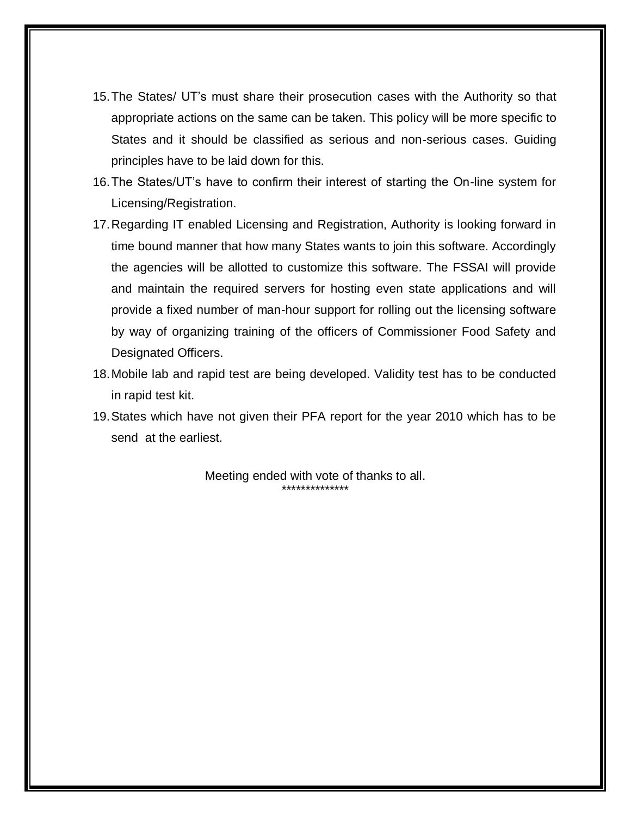- 15.The States/ UT's must share their prosecution cases with the Authority so that appropriate actions on the same can be taken. This policy will be more specific to States and it should be classified as serious and non-serious cases. Guiding principles have to be laid down for this.
- 16.The States/UT's have to confirm their interest of starting the On-line system for Licensing/Registration.
- 17.Regarding IT enabled Licensing and Registration, Authority is looking forward in time bound manner that how many States wants to join this software. Accordingly the agencies will be allotted to customize this software. The FSSAI will provide and maintain the required servers for hosting even state applications and will provide a fixed number of man-hour support for rolling out the licensing software by way of organizing training of the officers of Commissioner Food Safety and Designated Officers.
- 18.Mobile lab and rapid test are being developed. Validity test has to be conducted in rapid test kit.
- 19.States which have not given their PFA report for the year 2010 which has to be send at the earliest.

Meeting ended with vote of thanks to all. \*\*\*\*\*\*\*\*\*\*\*\*\*\*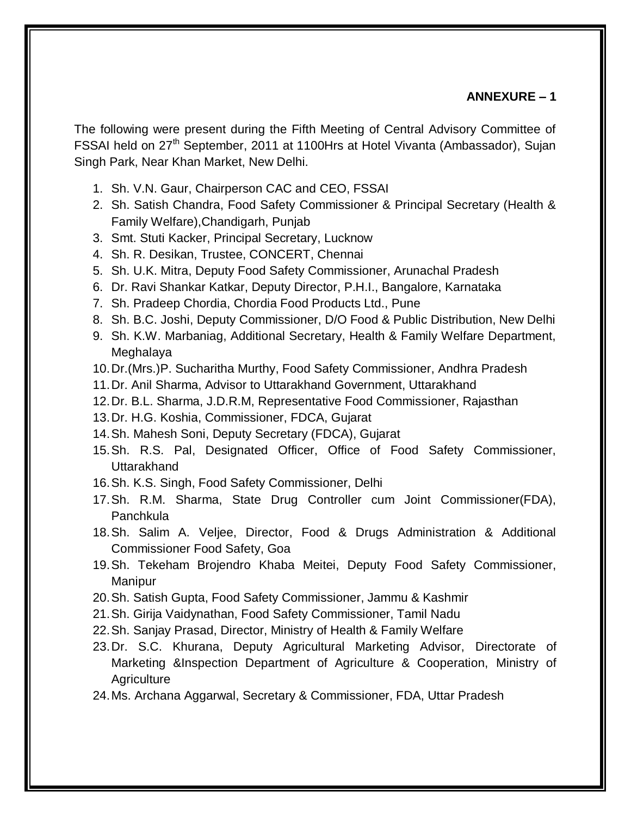#### **ANNEXURE – 1**

The following were present during the Fifth Meeting of Central Advisory Committee of FSSAI held on 27<sup>th</sup> September, 2011 at 1100Hrs at Hotel Vivanta (Ambassador), Sujan Singh Park, Near Khan Market, New Delhi.

- 1. Sh. V.N. Gaur, Chairperson CAC and CEO, FSSAI
- 2. Sh. Satish Chandra, Food Safety Commissioner & Principal Secretary (Health & Family Welfare),Chandigarh, Punjab
- 3. Smt. Stuti Kacker, Principal Secretary, Lucknow
- 4. Sh. R. Desikan, Trustee, CONCERT, Chennai
- 5. Sh. U.K. Mitra, Deputy Food Safety Commissioner, Arunachal Pradesh
- 6. Dr. Ravi Shankar Katkar, Deputy Director, P.H.I., Bangalore, Karnataka
- 7. Sh. Pradeep Chordia, Chordia Food Products Ltd., Pune
- 8. Sh. B.C. Joshi, Deputy Commissioner, D/O Food & Public Distribution, New Delhi
- 9. Sh. K.W. Marbaniag, Additional Secretary, Health & Family Welfare Department, Meghalaya
- 10.Dr.(Mrs.)P. Sucharitha Murthy, Food Safety Commissioner, Andhra Pradesh
- 11.Dr. Anil Sharma, Advisor to Uttarakhand Government, Uttarakhand
- 12.Dr. B.L. Sharma, J.D.R.M, Representative Food Commissioner, Rajasthan
- 13.Dr. H.G. Koshia, Commissioner, FDCA, Gujarat
- 14.Sh. Mahesh Soni, Deputy Secretary (FDCA), Gujarat
- 15.Sh. R.S. Pal, Designated Officer, Office of Food Safety Commissioner, Uttarakhand
- 16.Sh. K.S. Singh, Food Safety Commissioner, Delhi
- 17.Sh. R.M. Sharma, State Drug Controller cum Joint Commissioner(FDA), **Panchkula**
- 18.Sh. Salim A. Veljee, Director, Food & Drugs Administration & Additional Commissioner Food Safety, Goa
- 19.Sh. Tekeham Brojendro Khaba Meitei, Deputy Food Safety Commissioner, Manipur
- 20.Sh. Satish Gupta, Food Safety Commissioner, Jammu & Kashmir
- 21.Sh. Girija Vaidynathan, Food Safety Commissioner, Tamil Nadu
- 22.Sh. Sanjay Prasad, Director, Ministry of Health & Family Welfare
- 23.Dr. S.C. Khurana, Deputy Agricultural Marketing Advisor, Directorate of Marketing &Inspection Department of Agriculture & Cooperation, Ministry of Agriculture
- 24.Ms. Archana Aggarwal, Secretary & Commissioner, FDA, Uttar Pradesh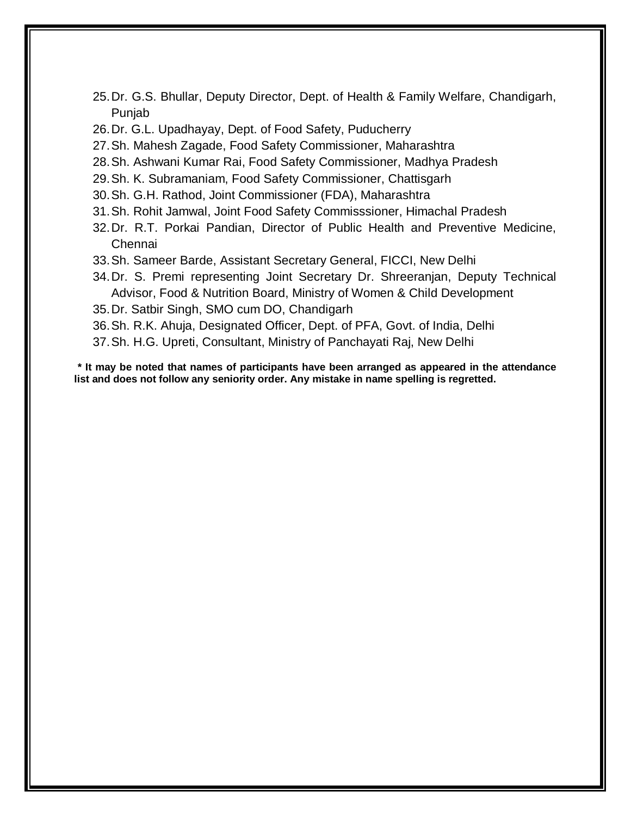- 25.Dr. G.S. Bhullar, Deputy Director, Dept. of Health & Family Welfare, Chandigarh, Punjab
- 26.Dr. G.L. Upadhayay, Dept. of Food Safety, Puducherry
- 27.Sh. Mahesh Zagade, Food Safety Commissioner, Maharashtra
- 28.Sh. Ashwani Kumar Rai, Food Safety Commissioner, Madhya Pradesh
- 29.Sh. K. Subramaniam, Food Safety Commissioner, Chattisgarh
- 30.Sh. G.H. Rathod, Joint Commissioner (FDA), Maharashtra
- 31.Sh. Rohit Jamwal, Joint Food Safety Commisssioner, Himachal Pradesh
- 32.Dr. R.T. Porkai Pandian, Director of Public Health and Preventive Medicine, Chennai
- 33.Sh. Sameer Barde, Assistant Secretary General, FICCI, New Delhi
- 34.Dr. S. Premi representing Joint Secretary Dr. Shreeranjan, Deputy Technical Advisor, Food & Nutrition Board, Ministry of Women & Child Development
- 35.Dr. Satbir Singh, SMO cum DO, Chandigarh
- 36.Sh. R.K. Ahuja, Designated Officer, Dept. of PFA, Govt. of India, Delhi
- 37.Sh. H.G. Upreti, Consultant, Ministry of Panchayati Raj, New Delhi

**\* It may be noted that names of participants have been arranged as appeared in the attendance list and does not follow any seniority order. Any mistake in name spelling is regretted.**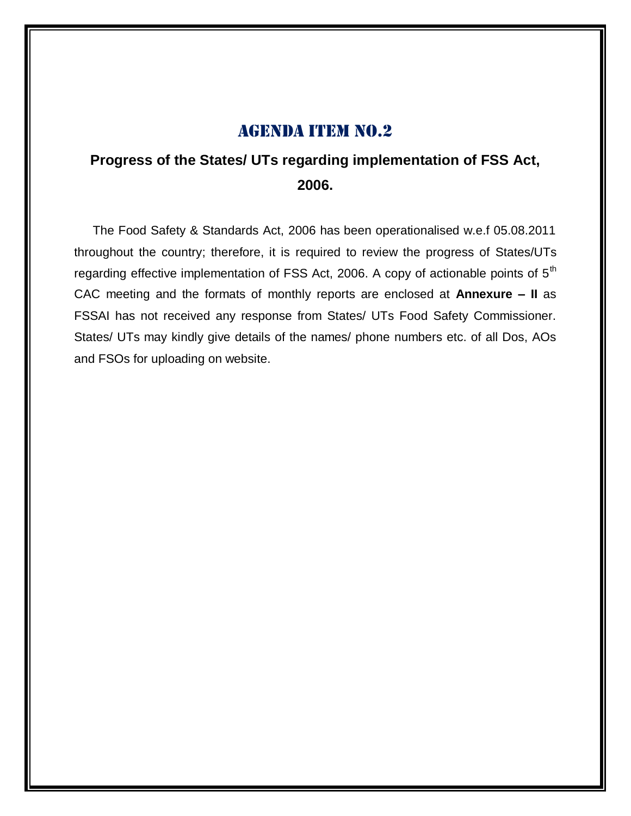## **Progress of the States/ UTs regarding implementation of FSS Act, 2006.**

The Food Safety & Standards Act, 2006 has been operationalised w.e.f 05.08.2011 throughout the country; therefore, it is required to review the progress of States/UTs regarding effective implementation of FSS Act, 2006. A copy of actionable points of 5<sup>th</sup> CAC meeting and the formats of monthly reports are enclosed at **Annexure – II** as FSSAI has not received any response from States/ UTs Food Safety Commissioner. States/ UTs may kindly give details of the names/ phone numbers etc. of all Dos, AOs and FSOs for uploading on website.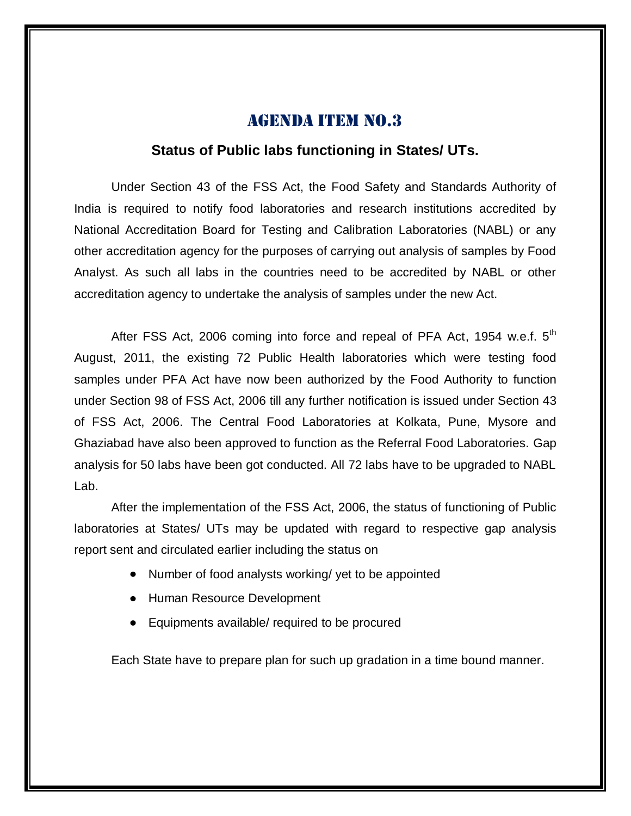## **Status of Public labs functioning in States/ UTs.**

Under Section 43 of the FSS Act, the Food Safety and Standards Authority of India is required to notify food laboratories and research institutions accredited by National Accreditation Board for Testing and Calibration Laboratories (NABL) or any other accreditation agency for the purposes of carrying out analysis of samples by Food Analyst. As such all labs in the countries need to be accredited by NABL or other accreditation agency to undertake the analysis of samples under the new Act.

After FSS Act, 2006 coming into force and repeal of PFA Act, 1954 w.e.f.  $5<sup>th</sup>$ August, 2011, the existing 72 Public Health laboratories which were testing food samples under PFA Act have now been authorized by the Food Authority to function under Section 98 of FSS Act, 2006 till any further notification is issued under Section 43 of FSS Act, 2006. The Central Food Laboratories at Kolkata, Pune, Mysore and Ghaziabad have also been approved to function as the Referral Food Laboratories. Gap analysis for 50 labs have been got conducted. All 72 labs have to be upgraded to NABL Lab.

After the implementation of the FSS Act, 2006, the status of functioning of Public laboratories at States/ UTs may be updated with regard to respective gap analysis report sent and circulated earlier including the status on

- Number of food analysts working/ yet to be appointed
- Human Resource Development
- Equipments available/ required to be procured

Each State have to prepare plan for such up gradation in a time bound manner.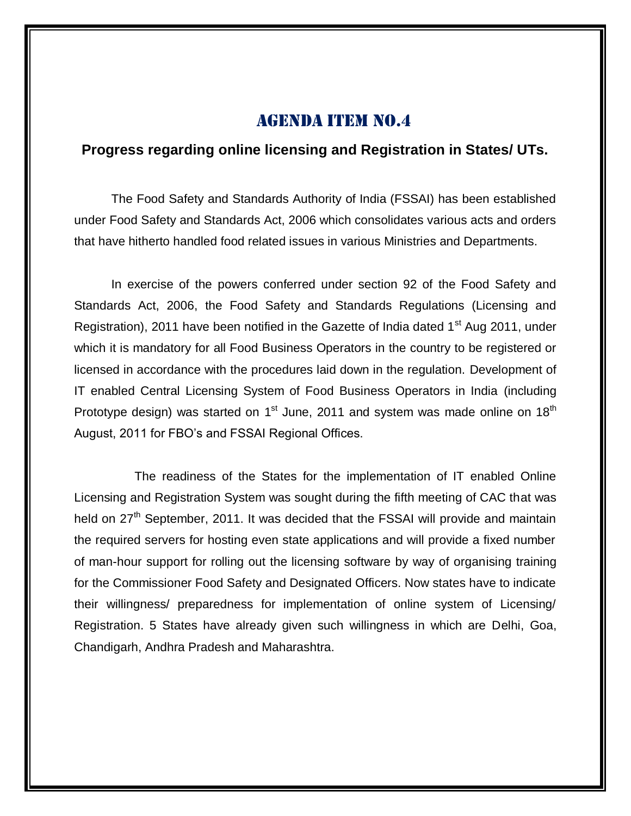## **Progress regarding online licensing and Registration in States/ UTs.**

The Food Safety and Standards Authority of India (FSSAI) has been established under Food Safety and Standards Act, 2006 which consolidates various acts and orders that have hitherto handled food related issues in various Ministries and Departments.

In exercise of the powers conferred under section 92 of the Food Safety and Standards Act, 2006, the Food Safety and Standards Regulations (Licensing and Registration), 2011 have been notified in the Gazette of India dated 1<sup>st</sup> Aug 2011, under which it is mandatory for all Food Business Operators in the country to be registered or licensed in accordance with the procedures laid down in the regulation. Development of IT enabled Central Licensing System of Food Business Operators in India (including Prototype design) was started on 1<sup>st</sup> June, 2011 and system was made online on 18<sup>th</sup> August, 2011 for FBO's and FSSAI Regional Offices.

The readiness of the States for the implementation of IT enabled Online Licensing and Registration System was sought during the fifth meeting of CAC that was held on  $27<sup>th</sup>$  September, 2011. It was decided that the FSSAI will provide and maintain the required servers for hosting even state applications and will provide a fixed number of man-hour support for rolling out the licensing software by way of organising training for the Commissioner Food Safety and Designated Officers. Now states have to indicate their willingness/ preparedness for implementation of online system of Licensing/ Registration. 5 States have already given such willingness in which are Delhi, Goa, Chandigarh, Andhra Pradesh and Maharashtra.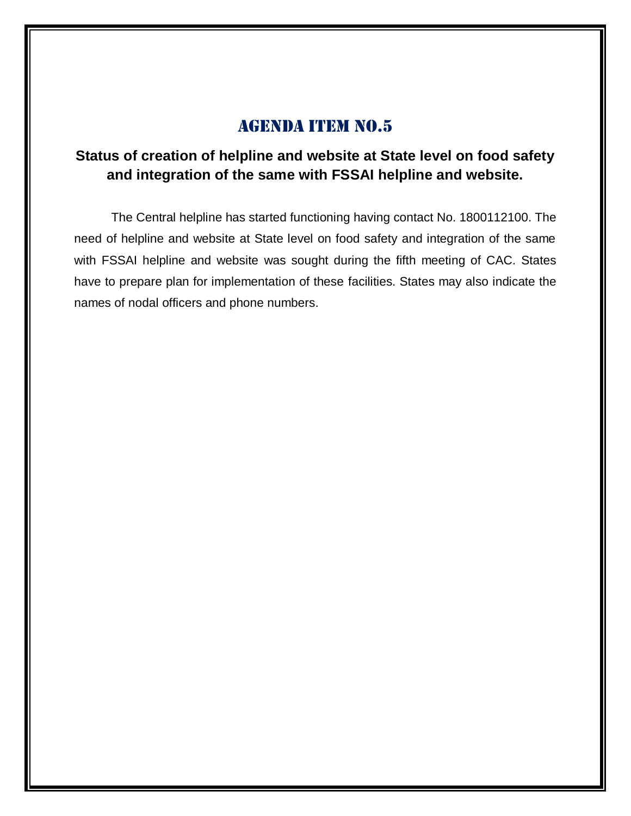## **Status of creation of helpline and website at State level on food safety and integration of the same with FSSAI helpline and website.**

The Central helpline has started functioning having contact No. 1800112100. The need of helpline and website at State level on food safety and integration of the same with FSSAI helpline and website was sought during the fifth meeting of CAC. States have to prepare plan for implementation of these facilities. States may also indicate the names of nodal officers and phone numbers.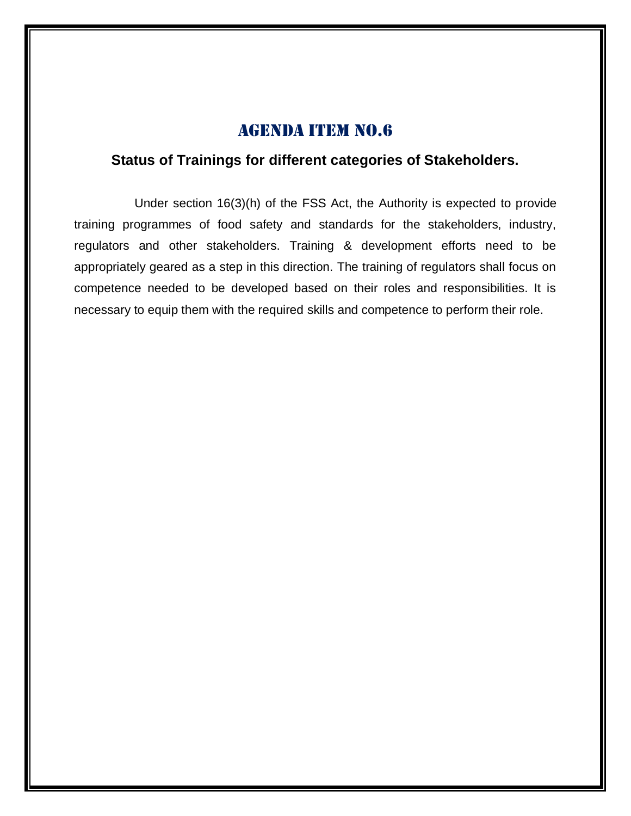## **Status of Trainings for different categories of Stakeholders.**

Under section 16(3)(h) of the FSS Act, the Authority is expected to provide training programmes of food safety and standards for the stakeholders, industry, regulators and other stakeholders. Training & development efforts need to be appropriately geared as a step in this direction. The training of regulators shall focus on competence needed to be developed based on their roles and responsibilities. It is necessary to equip them with the required skills and competence to perform their role.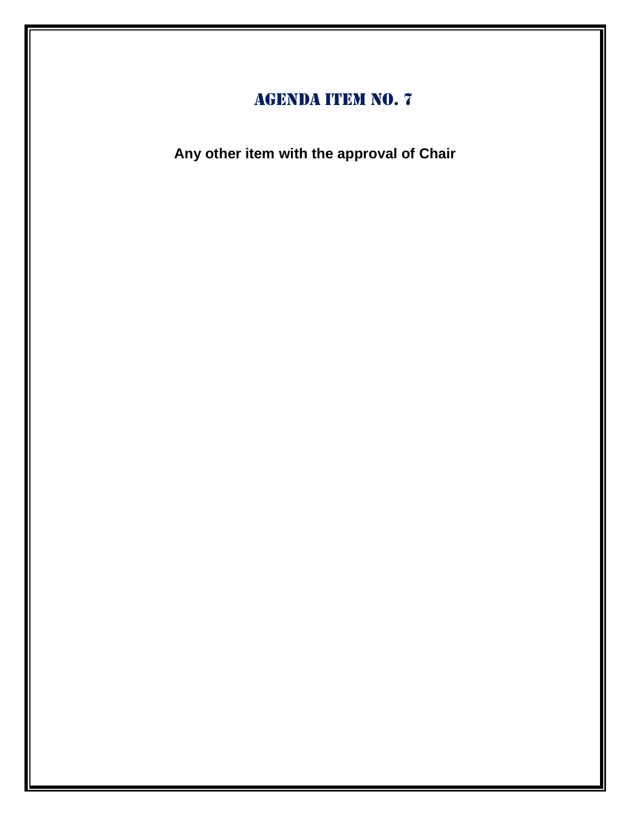**Any other item with the approval of Chair**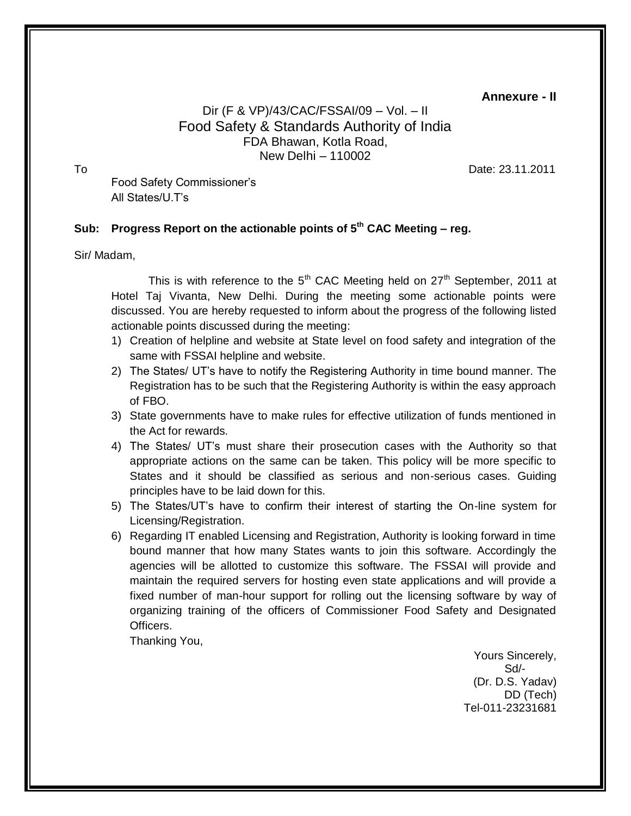**Annexure - II**

## Dir (F & VP)/43/CAC/FSSAI/09 – Vol. – II Food Safety & Standards Authority of India FDA Bhawan, Kotla Road, New Delhi – 110002

To Date: 23.11.2011

 Food Safety Commissioner's All States/U.T's

## **Sub: Progress Report on the actionable points of 5th CAC Meeting – reg.**

#### Sir/ Madam,

This is with reference to the  $5<sup>th</sup>$  CAC Meeting held on  $27<sup>th</sup>$  September, 2011 at Hotel Taj Vivanta, New Delhi. During the meeting some actionable points were discussed. You are hereby requested to inform about the progress of the following listed actionable points discussed during the meeting:

- 1) Creation of helpline and website at State level on food safety and integration of the same with FSSAI helpline and website.
- 2) The States/ UT's have to notify the Registering Authority in time bound manner. The Registration has to be such that the Registering Authority is within the easy approach of FBO.
- 3) State governments have to make rules for effective utilization of funds mentioned in the Act for rewards.
- 4) The States/ UT's must share their prosecution cases with the Authority so that appropriate actions on the same can be taken. This policy will be more specific to States and it should be classified as serious and non-serious cases. Guiding principles have to be laid down for this.
- 5) The States/UT's have to confirm their interest of starting the On-line system for Licensing/Registration.
- 6) Regarding IT enabled Licensing and Registration, Authority is looking forward in time bound manner that how many States wants to join this software. Accordingly the agencies will be allotted to customize this software. The FSSAI will provide and maintain the required servers for hosting even state applications and will provide a fixed number of man-hour support for rolling out the licensing software by way of organizing training of the officers of Commissioner Food Safety and Designated Officers.

Thanking You,

Yours Sincerely, Sd/- (Dr. D.S. Yadav) DD (Tech) Tel-011-23231681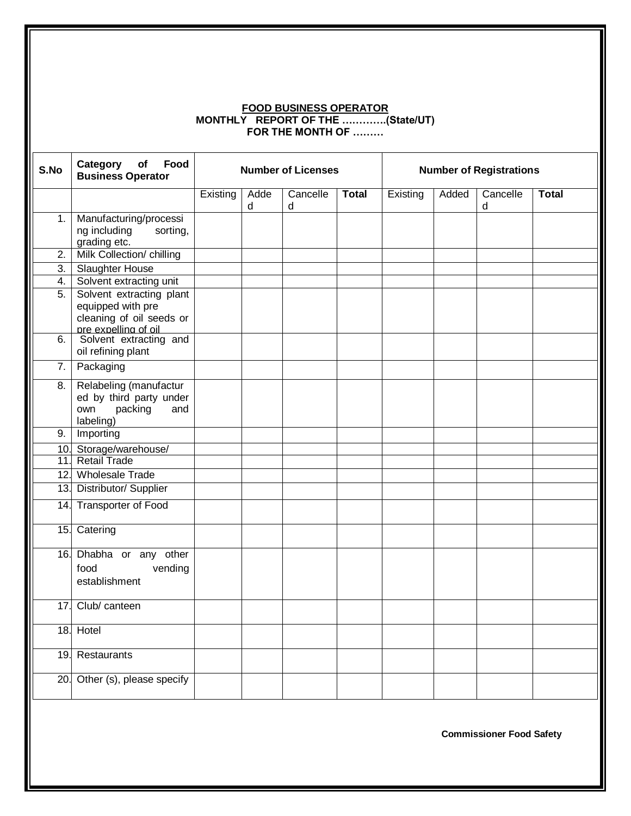#### **FOOD BUSINESS OPERATOR MONTHLY REPORT OF THE ………….(State/UT) FOR THE MONTH OF ………**

| S.No             | Category<br>Food<br>of<br><b>Business Operator</b>                                                |          |           | <b>Number of Licenses</b> |              | <b>Number of Registrations</b> |       |               |              |  |  |
|------------------|---------------------------------------------------------------------------------------------------|----------|-----------|---------------------------|--------------|--------------------------------|-------|---------------|--------------|--|--|
|                  |                                                                                                   | Existing | Adde<br>d | Cancelle<br>d             | <b>Total</b> | Existing                       | Added | Cancelle<br>d | <b>Total</b> |  |  |
| 1.               | Manufacturing/processi<br>ng including<br>sorting,<br>grading etc.                                |          |           |                           |              |                                |       |               |              |  |  |
| 2.               | Milk Collection/ chilling                                                                         |          |           |                           |              |                                |       |               |              |  |  |
| $\overline{3}$ . | <b>Slaughter House</b>                                                                            |          |           |                           |              |                                |       |               |              |  |  |
| 4.               | Solvent extracting unit                                                                           |          |           |                           |              |                                |       |               |              |  |  |
| 5.               | Solvent extracting plant<br>equipped with pre<br>cleaning of oil seeds or<br>pre expelling of oil |          |           |                           |              |                                |       |               |              |  |  |
| 6.               | Solvent extracting and<br>oil refining plant                                                      |          |           |                           |              |                                |       |               |              |  |  |
| 7.               | Packaging                                                                                         |          |           |                           |              |                                |       |               |              |  |  |
| 8.               | Relabeling (manufactur<br>ed by third party under<br>packing<br>and<br>own<br>labeling)           |          |           |                           |              |                                |       |               |              |  |  |
| 9.               | Importing                                                                                         |          |           |                           |              |                                |       |               |              |  |  |
|                  | 10. Storage/warehouse/                                                                            |          |           |                           |              |                                |       |               |              |  |  |
|                  | 11. Retail Trade                                                                                  |          |           |                           |              |                                |       |               |              |  |  |
|                  | 12. Wholesale Trade                                                                               |          |           |                           |              |                                |       |               |              |  |  |
|                  | 13. Distributor/ Supplier                                                                         |          |           |                           |              |                                |       |               |              |  |  |
|                  | 14. Transporter of Food                                                                           |          |           |                           |              |                                |       |               |              |  |  |
|                  | 15. Catering                                                                                      |          |           |                           |              |                                |       |               |              |  |  |
| 16.              | Dhabha or any other<br>food<br>vending<br>establishment                                           |          |           |                           |              |                                |       |               |              |  |  |
| 17.              | Club/ canteen                                                                                     |          |           |                           |              |                                |       |               |              |  |  |
|                  | 18. Hotel                                                                                         |          |           |                           |              |                                |       |               |              |  |  |
|                  | 19. Restaurants                                                                                   |          |           |                           |              |                                |       |               |              |  |  |
|                  | 20. Other (s), please specify                                                                     |          |           |                           |              |                                |       |               |              |  |  |
|                  |                                                                                                   |          |           |                           |              |                                |       |               |              |  |  |

**Commissioner Food Safety**